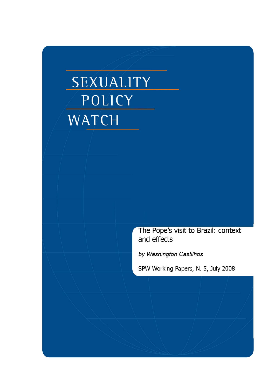# SEXUALITY POLICY WATCH

The Pope's visit to Brazil: context and effects

by Washington Castilhos

SPW Working Papers, N. 5, July 2008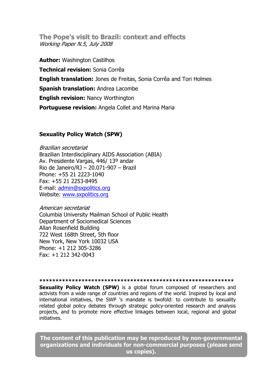**The Pope's visit to Brazil: context and effects** Working Paper N.5, July 2008

**Author:** Washington Castilhos **Technical revision:** Sonia Corrêa **English translation:** Jones de Freitas, Sonia Corrêa and Tori Holmes **Spanish translation:** Andrea Lacombe **English revision:** Nancy Worthington **Portuguese revision:** Angela Collet and Marina Maria

#### **Sexuality Policy Watch (SPW)**

Brazilian secretariat Brazilian Interdisciplinary AIDS Association (ABIA) Av. Presidente Vargas, 446/ 13º andar Rio de Janeiro/RJ – 20.071-907 – Brazil Phone: +55 21 2223-1040 Fax: +55 21 2253-8495 E-mail: admin@sxpolitics.org Website: www.sxpolitics.org

American secretariat Columbia University Mailman School of Public Health Department of Sociomedical Sciences Allan Rosenfield Building 722 West 168th Street, 5th floor New York, New York 10032 USA Phone: +1 212 305-3286 Fax: +1 212 342-0043

#### **\*\*\*\*\*\*\*\*\*\*\*\*\*\*\*\*\*\*\*\*\*\*\*\*\*\*\*\*\*\*\*\*\*\*\*\*\*\*\*\*\*\*\*\*\*\*\*\*\*\*\*\*\*\*\*\*\*\*\*\***

**Sexuality Policy Watch (SPW)** is a global forum composed of researchers and activists from a wide range of countries and regions of the world. Inspired by local and international initiatives, the SWP 's mandate is twofold: to contribute to sexuality related global policy debates through strategic policy-oriented research and analysis projects, and to promote more effective linkages between local, regional and global initiatives.

**The content of this publication may be reproduced by non-governmental organizations and individuals for non-commercial purposes (please send us copies).**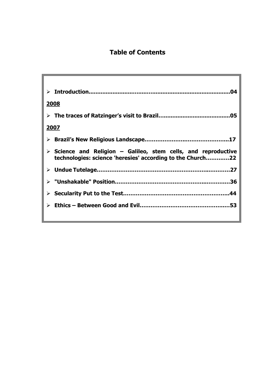# **Table of Contents**

|               | 04                                                                                                                                          |
|---------------|---------------------------------------------------------------------------------------------------------------------------------------------|
| <u> 2008 </u> |                                                                                                                                             |
|               |                                                                                                                                             |
| <u>2007</u>   |                                                                                                                                             |
|               |                                                                                                                                             |
|               | $\triangleright$ Science and Religion – Galileo, stem cells, and reproductive<br>technologies: science 'heresies' according to the Church22 |
|               |                                                                                                                                             |
|               |                                                                                                                                             |
|               |                                                                                                                                             |
|               |                                                                                                                                             |
|               |                                                                                                                                             |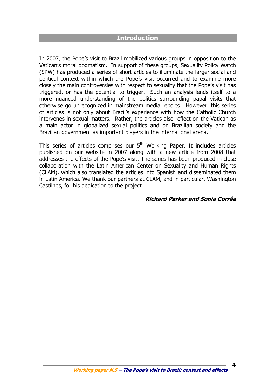### **Introduction**

In 2007, the Pope's visit to Brazil mobilized various groups in opposition to the Vatican's moral dogmatism. In support of these groups, Sexuality Policy Watch (SPW) has produced a series of short articles to illuminate the larger social and political context within which the Pope's visit occurred and to examine more closely the main controversies with respect to sexuality that the Pope's visit has triggered, or has the potential to trigger. Such an analysis lends itself to a more nuanced understanding of the politics surrounding papal visits that otherwise go unrecognized in mainstream media reports. However, this series of articles is not only about Brazil's experience with how the Catholic Church intervenes in sexual matters. Rather, the articles also reflect on the Vatican as a main actor in globalized sexual politics and on Brazilian society and the Brazilian government as important players in the international arena.

This series of articles comprises our  $5<sup>th</sup>$  Working Paper. It includes articles published on our website in 2007 along with a new article from 2008 that addresses the effects of the Pope's visit. The series has been produced in close collaboration with the Latin American Center on Sexuality and Human Rights (CLAM), which also translated the articles into Spanish and disseminated them in Latin America. We thank our partners at CLAM, and in particular, Washington Castilhos, for his dedication to the project.

#### **Richard Parker and Sonia Corrêa**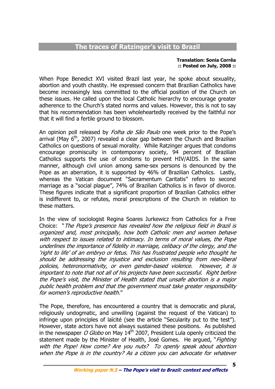# **The traces of Ratzinger's visit to Brazil**

#### **Translation: Sonia Corrêa :: Posted on July, 2008 ::**

When Pope Benedict XVI visited Brazil last year, he spoke about sexuality, abortion and youth chastity. He expressed concern that Brazilian Catholics have become increasingly less committed to the official position of the Church on these issues. He called upon the local Catholic hierarchy to encourage greater adherence to the Church's stated norms and values. However, this is not to say that his recommendation has been wholeheartedly received by the faithful nor that it will find a fertile ground to blossom.

An opinion poll released by *Folha de São Paulo* one week prior to the Pope's arrival (May  $6<sup>th</sup>$ , 2007) revealed a clear gap between the Church and Brazilian Catholics on questions of sexual morality. While Ratzinger argues that condoms encourage promiscuity in contemporary society, 94 percent of Brazilian Catholics supports the use of condoms to prevent HIV/AIDS. In the same manner, although civil union among same-sex persons is denounced by the Pope as an aberration, it is supported by 46% of Brazilian Catholics. Lastly, whereas the Vatican document "Sacramentum Caritatis" refers to second marriage as a "social plague", 74% of Brazilian Catholics is in favor of divorce. These figures indicate that a significant proportion of Brazilian Catholics either is indifferent to, or refutes, moral prescriptions of the Church in relation to these matters.

In the view of sociologist Regina Soares Jurkewicz from Catholics for a Free Choice: "The Pope's presence has revealed how the religious field in Brazil is organized and, most principally, how both Catholic men and women behave with respect to issues related to intimacy. In terms of moral values, the Pope underlines the importance of fidelity in marriage, celibacy of the clergy, and the 'right to life' of an embryo or fetus. This has frustrated people who thought he should be addressing the injustice and exclusion resulting from neo-liberal policies, heteronormativity, or even gender-based violence. However, it is important to note that not all of his projects have been successful. Right before the Pope's visit, the Minister of Health stated that unsafe abortion is a major public health problem and that the government must take greater responsibility for women's reproductive health."

The Pope, therefore, has encountered a country that is democratic and plural, religiously undogmatic, and unwilling (against the request of the Vatican) to infringe upon principles of laïcité (see the article "Secularity put to the test"). However, state actors have not always sustained these positions. As published in the newspaper O Globo on May  $14<sup>th</sup>$  2007, President Lula openly criticized the statement made by the Minister of Health, José Gomes. He argued, "Fighting with the Pope! How come? Are you nuts? To openly speak about abortion when the Pope is in the country? As a citizen you can advocate for whatever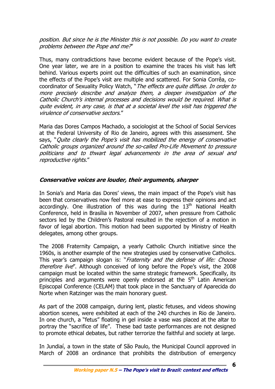position. But since he is the Minister this is not possible. Do you want to create problems between the Pope and me?"

Thus, many contradictions have become evident because of the Pope's visit. One year later, we are in a position to examine the traces his visit has left behind. Various experts point out the difficulties of such an examination, since the effects of the Pope's visit are multiple and scattered. For Sonia Corrêa, cocoordinator of Sexuality Policy Watch, "The effects are quite diffuse. In order to more precisely describe and analyze them, a deeper investigation of the Catholic Church's internal processes and decisions would be required. What is quite evident, in any case, is that at a societal level the visit has triggered the virulence of conservative sectors."

Maria das Dores Campos Machado, a sociologist at the School of Social Services at the Federal University of Rio de Janeiro, agrees with this assessment. She says, "Ouite clearly the Pope's visit has mobilized the energy of conservative Catholic groups organized around the so-called Pro-Life Movement to pressure politicians and to thwart legal advancements in the area of sexual and reproductive rights."

#### **Conservative voices are louder, their arguments, sharper**

In Sonia's and Maria das Dores' views, the main impact of the Pope's visit has been that conservatives now feel more at ease to express their opinions and act accordingly. One illustration of this was during the  $13<sup>th</sup>$  National Health Conference, held in Brasília in November of 2007, when pressure from Catholic sectors led by the Children's Pastoral resulted in the rejection of a motion in favor of legal abortion. This motion had been supported by Ministry of Health delegates, among other groups.

The 2008 Fraternity Campaign, a yearly Catholic Church initiative since the 1960s, is another example of the new strategies used by conservative Catholics. This year's campaign slogan is: "Fraternity and the defense of life: Choose therefore live". Although conceived of long before the Pope's visit, the 2008 campaign must be located within the same strategic framework. Specifically, its principles and arguments were openly endorsed at the 5<sup>th</sup> Latin American Episcopal Conference (CELAM) that took place in the Sanctuary of Aparecida do Norte when Ratzinger was the main honorary guest.

As part of the 2008 campaign, during lent, plastic fetuses, and videos showing abortion scenes, were exhibited at each of the 240 churches in Rio de Janeiro. In one church, a "fetus" floating in gel inside a vase was placed at the altar to portray the "sacrifice of life". These bad taste performances are not designed to promote ethical debates, but rather terrorize the faithful and society at large.

In Jundiaí, a town in the state of São Paulo, the Municipal Council approved in March of 2008 an ordinance that prohibits the distribution of emergency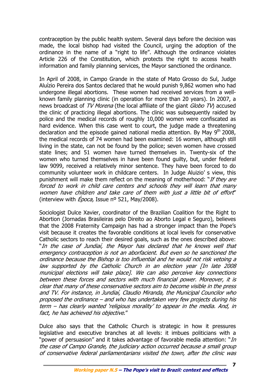contraception by the public health system. Several days before the decision was made, the local bishop had visited the Council, urging the adoption of the ordinance in the name of a "right to life". Although the ordinance violates Article 226 of the Constitution, which protects the right to access health information and family planning services, the Mayor sanctioned the ordinance.

In April of 2008, in Campo Grande in the state of Mato Grosso do Sul, Judge Aluízio Pereira dos Santos declared that he would punish 9,862 women who had undergone illegal abortions. These women had received services from a wellknown family planning clinic (in operation for more than 20 years). In 2007, a news broadcast of TV Morena (the local affiliate of the giant Globo TV) accused the clinic of practicing illegal abortions. The clinic was subsequently raided by police and the medical records of roughly 10,000 women were confiscated as hard evidence. When this case went to court, the judge made a threatening declaration and the episode gained national media attention. By May  $9<sup>th</sup>$  2008, the medical records of 74 women had been examined: 16 women, although still living in the state, can not be found by the police; seven women have crossed state lines; and 51 women have turned themselves in. Twenty-six of the women who turned themselves in have been found guilty, but, under federal law 9099, received a relatively minor sentence. They have been forced to do community volunteer work in childcare centers. In Judge Aluizio' s view, this punishment will make them reflect on the meaning of motherhood: "If they are forced to work in child care centers and schools they will learn that many women have children and take care of them with just a little bit of effort" (interview with  $Época$ , Issue nº 521, May/2008).

Sociologist Dulce Xavier, coordinator of the Brazilian Coalition for the Right to Abortion (Jornadas Brasileiras pelo Direito ao Aborto Legal e Seguro), believes that the 2008 Fraternity Campaign has had a stronger impact than the Pope's visit because it creates the favorable conditions at local levels for conservative Catholic sectors to reach their desired goals, such as the ones described above: "In the case of Jundiaí, the Mayor has declared that he knows well that emergency contraception is not an aborfacient. But even so he sanctioned the ordinance because the Bishop is too influential and he would not risk vetoing a law supported by the Catholic Church in an election year [In late 2008 municipal elections will take place]. We can also perceive key connections between these forces and sectors with much financial power. Moreover, it is clear that many of these conservative sectors aim to become visible in the press and TV. For instance, in Jundiaí, Claudio Miranda, the Municipal Councilor who proposed the ordinance – and who has undertaken very few projects during his term – has clearly wanted 'religious morality' to appear in the media. And, in fact, he has achieved his objective."

Dulce also says that the Catholic Church is strategic in how it pressures legislative and executive branches at all levels: it imbues politicians with a "power of persuasion" and it takes advantage of favorable media attention: "*In* the case of Campo Grande, the judiciary action occurred because a small group of conservative federal parliamentarians visited the town, after the clinic was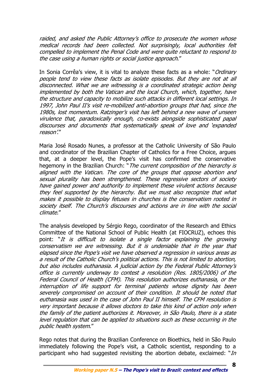raided, and asked the Public Attorney's office to prosecute the women whose medical records had been collected. Not surprisingly, local authorities felt compelled to implement the Penal Code and were quite reluctant to respond to the case using a human rights or social justice approach."

In Sonia Corrêa's view, it is vital to analyze these facts as a whole: "*Ordinary* people tend to view these facts as isolate episodes. But they are not at all disconnected. What we are witnessing is a coordinated strategic action being implemented by both the Vatican and the local Church, which, together, have the structure and capacity to mobilize such attacks in different local settings. In 1997, John Paul II's visit re-mobilized anti-abortion groups that had, since the 1980s, lost momentum. Ratzinger's visit has left behind a new wave of unseen virulence that, paradoxically enough, co-exists alongside sophisticated papal discourses and documents that systematically speak of love and 'expanded reason'."

Maria José Rosado Nunes, a professor at the Catholic University of São Paulo and coordinator of the Brazilian Chapter of Catholics for a Free Choice, argues that, at a deeper level, the Pope's visit has confirmed the conservative hegemony in the Brazilian Church: "The current composition of the hierarchy is aligned with the Vatican. The core of the groups that oppose abortion and sexual plurality has been strengthened. These regressive sectors of society have gained power and authority to implement these virulent actions because they feel supported by the hierarchy. But we must also recognize that what makes it possible to display fetuses in churches is the conservatism rooted in society itself. The Church's discourses and actions are in line with the social climate."

The analysis developed by Sérgio Rego, coordinator of the Research and Ethics Committee of the National School of Public Health (at FIOCRUZ), echoes this point: "It is difficult to isolate a single factor explaining the growing conservatism we are witnessing. But it is undeniable that in the year that elapsed since the Pope's visit we have observed a regression in various areas as a result of the Catholic Church's political actions. This is not limited to abortion, but also includes euthanasia. A judicial action by the Federal Public Attorney's office is currently underway to contest a resolution (Res. 1805/2006) of the Federal Council of Health (CFM). This resolution authorizes euthanasia, or the interruption of life support for terminal patients whose dignity has been severely compromised on account of their condition. It should be noted that euthanasia was used in the case of John Paul II himself. The CFM resolution is very important because it allows doctors to take this kind of action only when the family of the patient authorizes it. Moreover, in São Paulo, there is a state level regulation that can be applied to situations such as these occurring in the public health system."

Rego notes that during the Brazilian Conference on Bioethics, held in São Paulo immediately following the Pope's visit, a Catholic scientist, responding to a participant who had suggested revisiting the abortion debate, exclaimed: " $In$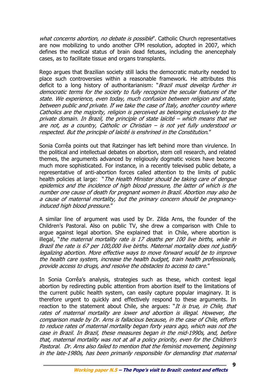what concerns abortion, no debate is possible". Catholic Church representatives are now mobilizing to undo another CFM resolution, adopted in 2007, which defines the medical status of brain dead fetuses, including the anencephaly cases, as to facilitate tissue and organs transplants.

Rego argues that Brazilian society still lacks the democratic maturity needed to place such controversies within a reasonable framework. He attributes this deficit to a long history of authoritarianism: "Brazil must develop further in democratic terms for the society to fully recognize the secular features of the state. We experience, even today, much confusion between religion and state, between public and private. If we take the case of Italy, another country where Catholics are the majority, religion is perceived as belonging exclusively to the private domain. In Brazil, the principle of state laïcité – which means that we are not, as a country, Catholic or Christian – is not yet fully understood or respected. But the principle of laïcité is enshrined in the Constitution."

Sonia Corrêa points out that Ratzinger has left behind more than virulence. In the political and intellectual debates on abortion, stem cell research, and related themes, the arguments advanced by religiously dogmatic voices have become much more sophisticated. For instance, in a recently televised public debate, a representative of anti-abortion forces called attention to the limits of public health policies at large: "The Health Minister should be taking care of dengue epidemics and the incidence of high blood pressure, the latter of which is the number one cause of death for pregnant women in Brazil. Abortion may also be a cause of maternal mortality, but the primary concern should be pregnancyinduced high blood pressure."

A similar line of argument was used by Dr. Zilda Arns, the founder of the Children's Pastoral. Also on public TV, she drew a comparison with Chile to argue against legal abortion. She explained that in Chile, where abortion is illegal, "the maternal mortality rate is 17 deaths per 100 live births, while in Brazil the rate is 67 per 100,000 live births. Maternal mortality does not justify legalizing abortion. More effective ways to move forward would be to improve the health care system, increase the health budget, train health professionals, provide access to drugs, and resolve the obstacles to access to care."

In Sonia Corrêa's analysis, strategies such as these, which contest legal abortion by redirecting public attention from abortion itself to the limitations of the current public health system, can easily capture popular imaginary. It is therefore urgent to quickly and effectively respond to these arguments. In reaction to the statement about Chile, she argues: "It is true, in Chile, that rates of maternal mortality are lower and abortion is illegal. However, the comparison made by Dr. Arns is fallacious because, in the case of Chile, efforts to reduce rates of maternal mortality began forty years ago, which was not the case in Brazil. In Brazil, these measures began in the mid-1990s, and, before that, maternal mortality was not at all a policy priority, even for the Children's Pastoral. Dr. Arns also failed to mention that the feminist movement, beginning in the late-1980s, has been primarily responsible for demanding that maternal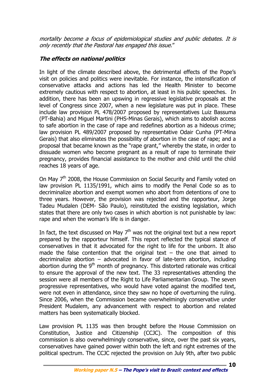mortality become a focus of epidemiological studies and public debates. It is only recently that the Pastoral has engaged this issue."

# **The effects on national politics**

In light of the climate described above, the detrimental effects of the Pope's visit on policies and politics were inevitable. For instance, the intensification of conservative attacks and actions has led the Health Minister to become extremely cautious with respect to abortion, at least in his public speeches. In addition, there has been an upswing in regressive legislative proposals at the level of Congress since 2007, when a new legislature was put in place. These include law provision PL 478/2007 proposed by representatives Luiz Bassuma (PT-Bahia) and Miguel Martini (PHS-Minas Gerais), which aims to abolish access to safe abortion in the case of rape and redefines abortion as a hideous crime; law provision PL 489/2007 proposed by representative Odair Cunha (PT-Mina Gerais) that also eliminates the possibility of abortion in the case of rape; and a proposal that became known as the "rape grant," whereby the state, in order to dissuade women who become pregnant as a result of rape to terminate their pregnancy, provides financial assistance to the mother and child until the child reaches 18 years of age.

On May 7<sup>th</sup> 2008, the House Commission on Social Security and Family voted on law provision PL 1135/1991, which aims to modify the Penal Code so as to decriminalize abortion and exempt women who abort from detentions of one to three years. However, the provision was rejected and the rapporteur, Jorge Tadeu Mudalen (DEM- São Paulo), reinstituted the existing legislation, which states that there are only two cases in which abortion is not punishable by law: rape and when the woman's life is in danger.

In fact, the text discussed on May  $7<sup>th</sup>$  was not the original text but a new report prepared by the rapporteur himself. This report reflected the typical stance of conservatives in that it advocated for the right to life for the unborn. It also made the false contention that the original text  $-$  the one that aimed to decriminalize abortion – advocated in favor of late-term abortion, including abortion during the  $9<sup>th</sup>$  month of pregnancy. This distorted rationale was critical to ensure the approval of the new text. The 33 representatives attending the session were all members of the Right to Life Parliamentarian Group. The seven progressive representatives, who would have voted against the modified text, were not even in attendance, since they saw no hope of overturning the ruling. Since 2006, when the Commission became overwhelmingly conservative under President Mudalem, any advancement with respect to abortion and related matters has been systematically blocked.

Law provision PL 1135 was then brought before the House Commission on Constitution, Justice and Citizenship (CCJC). The composition of this commission is also overwhelmingly conservative, since, over the past six years, conservatives have gained power within both the left and right extremes of the political spectrum. The CCJC rejected the provision on July 9th, after two public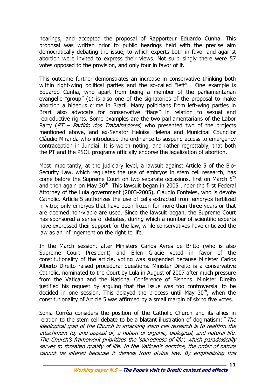hearings, and accepted the proposal of Rapporteur Eduardo Cunha. This proposal was written prior to public hearings held with the precise aim democratically debating the issue, to which experts both in favor and against abortion were invited to express their views. Not surprisingly there were 57 votes opposed to the provision, and only four in favor of it.

This outcome further demonstrates an increase in conservative thinking both within right-wing political parties and the so-called "left". One example is Eduardo Cunha, who apart from being a member of the parliamentarian evangelic "group" (1) is also one of the signatories of the proposal to make abortion a hideous crime in Brazil. Many politicians from left-wing parties in Brazil also advocate for conservative "flags" in relation to sexual and reproductive rights. Some examples are the two parliamentarians of the Labor Party ( $PT$  – Partido dos Trabalhadores) who presented two of the projects mentioned above, and ex-Senator Heloísa Helena and Municipal Councilor Cláudio Miranda who introduced the ordinance to suspend access to emergency contraception in Jundiaí. It is worth noting, and rather regrettably, that both the PT and the PSOL programs officially endorse the legalization of abortion.

Most importantly, at the judiciary level, a lawsuit against Article 5 of the Bio-Security Law, which regulates the use of embryos in stem cell research, has come before the Supreme Court on two separate occasions, first on March 5<sup>th</sup> and then again on May  $30<sup>th</sup>$ . This lawsuit began in 2005 under the first Federal Attorney of the Lula government (2003-2005), Cláudio Fonteles, who is devote Catholic. Article 5 authorizes the use of cells extracted from embryos fertilized in vitro; only embryos that have been frozen for more than three years or that are deemed non-viable are used. Since the lawsuit began, the Supreme Court has sponsored a series of debates, during which a number of scientific experts have expressed their support for the law, while conservatives have criticized the law as an infringement on the right to life.

In the March session, after Ministers Carlos Ayres de Britto (who is also Supreme Court President) and Ellen Gracie voted in favor of the constitutionality of the article, voting was suspended because Minister Carlos Alberto Direito raised procedural questions. Minister Direito is a conservative Catholic, nominated to the Court by Lula in August of 2007 after much pressure from the Vatican and the National Conference of Bishops. Minister Direito justified his request by arguing that the issue was too controversial to be decided in one session. This delayed the process until May  $30<sup>th</sup>$ , when the constitutionality of Article 5 was affirmed by a small margin of six to five votes.

Sonia Corrêa considers the position of the Catholic Church and its allies in relation to the stem cell debate to be a blatant illustration of dogmatism: "*The* ideological goal of the Church in attacking stem cell research is to reaffirm the attachment to, and appeal of, a notion of organic, biological, and natural life. The Church's framework prioritizes the 'sacredness of life', which paradoxically serves to threaten quality of life. In the Vatican's doctrine, the order of nature cannot be altered because it derives from divine law. By emphasizing this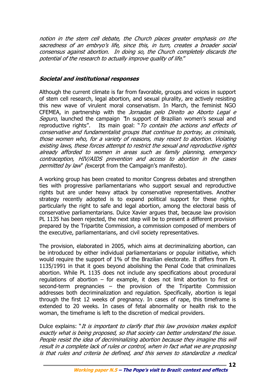notion in the stem cell debate, the Church places greater emphasis on the sacredness of an embryo's life, since this, in turn, creates a broader social consensus against abortion. In doing so, the Church completely discards the potential of the research to actually improve quality of life."

## **Societal and institutional responses**

Although the current climate is far from favorable, groups and voices in support of stem cell research, legal abortion, and sexual plurality, are actively resisting this new wave of virulent moral conservatism. In March, the feminist NGO CFEMEA, in partnership with the *Jornadas pelo Direito ao Aborto Legal e* Seguro, launched the campaign "In support of Brazilian women's sexual and reproductive rights". Its main goal: "To contain the actions and effects of conservative and fundamentalist groups that continue to portray, as criminals, those women who, for a variety of reasons, may resort to abortion. Violating existing laws, these forces attempt to restrict the sexual and reproductive rights already afforded to women in areas such as family planning, emergency contraception, HIV/AIDS prevention and access to abortion in the cases permitted by law" (excerpt from the Campaign's manifesto).

A working group has been created to monitor Congress debates and strengthen ties with progressive parliamentarians who support sexual and reproductive rights but are under heavy attack by conservative representatives. Another strategy recently adopted is to expand political support for these rights, particularly the right to safe and legal abortion, among the electoral basis of conservative parliamentarians. Dulce Xavier argues that, because law provision PL 1135 has been rejected, the next step will be to present a different provision prepared by the Tripartite Commission, a commission composed of members of the executive, parliamentarians, and civil society representatives.

The provision, elaborated in 2005, which aims at decriminalizing abortion, can be introduced by either individual parliamentarians or popular initiative, which would require the support of 1% of the Brazilian electorate. It differs from PL 1135/1991 in that it goes beyond abolishing the Penal Code that criminalizes abortion. While PL 1135 does not include any specifications about procedural regulations of abortion – for example, it does not limit abortion to first or second-term pregnancies – the provision of the Tripartite Commission addresses both decriminalization and regulation. Specifically, abortion is legal through the first 12 weeks of pregnancy. In cases of rape, this timeframe is extended to 20 weeks. In cases of fetal abnormality or health risk to the woman, the timeframe is left to the discretion of medical providers.

Dulce explains: "It is important to clarify that this law provision makes explicit exactly what is being proposed, so that society can better understand the issue. People resist the idea of decriminalizing abortion because they imagine this will result in a complete lack of rules or control, when in fact what we are proposing is that rules and criteria be defined, and this serves to standardize a medical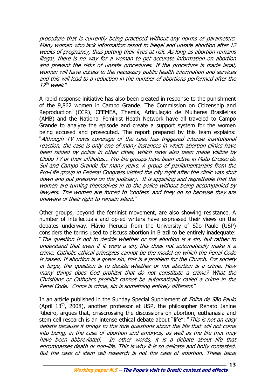procedure that is currently being practiced without any norms or parameters. Many women who lack information resort to illegal and unsafe abortion after 12 weeks of pregnancy, thus putting their lives at risk. As long as abortion remains illegal, there is no way for a woman to get accurate information on abortion and prevent the risks of unsafe procedures. If the procedure is made legal, women will have access to the necessary public health information and services and this will lead to a reduction in the number of abortions performed after the  $12^{th}$  week."

A rapid response initiative has also been created in response to the punishment of the 9,862 women in Campo Grande. The Commission on Citizenship and Reproduction (CCR), CFEMEA, Themis, Articulação de Mulheres Brasileiras (AMB) and the National Feminist Heath Network have all traveled to Campo Grande to analyze the episode and create a support system for the women being accused and prosecuted. The report prepared by this team explains: "Although TV news coverage of the case has triggered intense institutional reaction, the case is only one of many instances in which abortion clinics have been raided by police in other cities, which have also been made visible by Globo TV or their affiliates... Pro-life groups have been active in Mato Grosso do Sul and Campo Grande for many years. A group of parliamentarians from the Pro-Life group in Federal Congress visited the city right after the clinic was shut down and put pressure on the judiciary. It is appalling and regrettable that the women are turning themselves in to the police without being accompanied by lawyers. The women are forced to 'confess' and they do so because they are unaware of their right to remain silent."

Other groups, beyond the feminist movement, are also showing resistance. A number of intellectuals and op-ed writers have expressed their views on the debates underway. Flávio Pierucci from the University of São Paulo (USP) considers the terms used to discuss abortion in Brazil to be entirely inadequate: "The question is not to decide whether or not abortion is a sin, but rather to understand that even if it were a sin, this does not automatically make it a crime. Catholic ethical principles cannot be the model on which the Penal Code is based. If abortion is a grave sin, this is a problem for the Church. For society at large, the question is to decide whether or not abortion is a crime. How many things does God prohibit that do not constitute a crime? What the Christians or Catholics prohibit cannot be automatically called a crime in the Penal Code. Crime is crime, sin is something entirely different."

In an article published in the Sunday Special Supplement of *Folha de São Paulo* (April  $13<sup>th</sup>$ , 2008), another professor at USP, the philosopher Renato Janine Ribeiro, argues that, crisscrossing the discussions on abortion, euthanasia and stem cell research is an intense ethical debate about "life": " This is not an easy debate because it brings to the fore questions about the life that will not come into being, in the case of abortion and embryos, as well as the life that may have been abbreviated. In other words, it is a debate about life that encompasses death or non-life. This is why it is so delicate and hotly contested. But the case of stem cell research is not the case of abortion. These issue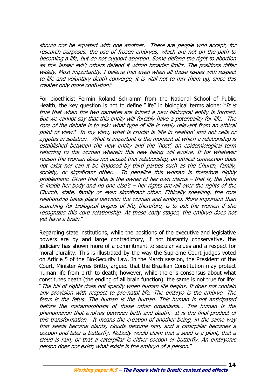should not be equated with one another. There are people who accept, for research purposes, the use of frozen embryos, which are not on the path to becoming a life, but do not support abortion. Some defend the right to abortion as the 'lesser evil'; others defend it within broader limits. The positions differ widely. Most importantly, I believe that even when all these issues with respect to life and voluntary death converge, it is vital not to mix them up, since this creates only more confusion."

For bioethicist Fermin Roland Schramm from the National School of Public Health, the key question is not to define "life" in biological terms alone: "*It is* true that when the two gametes are joined a new biological entity is formed. But we cannot say that this entity will forcibly have a potentiality for life. The core of the debate is to ask: what type of life is really relevant from an ethical point of view? In my view, what is crucial is 'life in relation' and not cells or zygotes in isolation. What is important is the moment at which a relationship is established between the new entity and the 'host', an epidemiological term referring to the woman wherein this new being will evolve. If for whatever reason the woman does not accept that relationship, an ethical connection does not exist nor can it be imposed by third parties such as the Church, family, society, or significant other. To penalize this woman is therefore highly problematic. Given that she is the owner of her own uterus – that is, the fetus is inside her body and no one else's – her rights prevail over the rights of the Church, state, family or even significant other. Ethically speaking, the core relationship takes place between the woman and embryo. More important than searching for biological origins of life, therefore, is to ask the women if she recognizes this core relationship. At these early stages, the embryo does not yet have a brain."

Regarding state institutions, while the positions of the executive and legislative powers are by and large contradictory, if not blatantly conservative, the judiciary has shown more of a commitment to secular values and a respect for moral plurality. This is illustrated by the way the Supreme Court judges voted on Article 5 of the Bio-Security Law. In the March session, the President of the Court, Minister Ayres Britto, argued that the Brazilian Constitution may protect human life from birth to death; however, while there is consensus about what constitutes death (the ending of all brain function), the same is not true for life: "The bill of rights does not specify when human life begins. It does not contain any provision with respect to pre-natal life. The embryo is the embryo. The fetus is the fetus. The human is the human. This human is not anticipated before the metamorphosis of these other organisms… The human is the phenomenon that evolves between birth and death. It is the final product of this transformation. It means the creation of another being, in the same way that seeds become plants, clouds become rain, and a caterpillar becomes a cocoon and later a butterfly. Nobody would claim that a seed is a plant, that a cloud is rain, or that a caterpillar is either cocoon or butterfly. An embryonic person does not exist; what exists is the embryo of a person."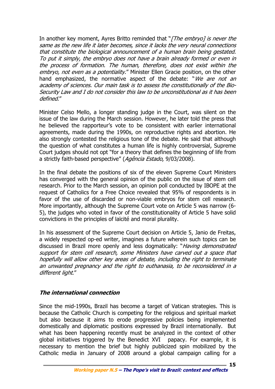In another key moment, Ayres Britto reminded that "[The embryo] is never the same as the new life it later becomes, since it lacks the very neural connections that constitute the biological announcement of a human brain being gestated. To put it simply, the embryo does not have a brain already formed or even in the process of formation. The human, therefore, does not exist within the embryo, not even as a potentiality." Minister Ellen Gracie position, on the other hand emphasized, the normative aspect of the debate: "We are not an academy of sciences. Our main task is to assess the constitutionally of the Bio-Security Law and I do not consider this law to be unconstitutional as it has been defined."

Minister Celso Mello, a longer standing judge in the Court, was silent on the issue of the law during the March session. However, he later told the press that he believed the rapporteur's vote to be consistent with earlier international agreements, made during the 1990s, on reproductive rights and abortion. He also strongly contested the religious tone of the debate. He said that although the question of what constitutes a human life is highly controversial, Supreme Court judges should not opt "for a theory that defines the beginning of life from a strictly faith-based perspective" (Agência Estado, 9/03/2008).

In the final debate the positions of six of the eleven Supreme Court Ministers has converged with the general opinion of the public on the issue of stem cell research. Prior to the March session, an opinion poll conducted by IBOPE at the request of Catholics for a Free Choice revealed that 95% of respondents is in favor of the use of discarded or non-viable embryos for stem cell research. More importantly, although the Supreme Court vote on Article 5 was narrow (6- 5), the judges who voted in favor of the constitutionality of Article 5 have solid convictions in the principles of laïcité and moral plurality.

In his assessment of the Supreme Court decision on Article 5, Janio de Freitas, a widely respected op-ed writer, imagines a future wherein such topics can be discussed in Brazil more openly and less dogmatically: "*Having demonstrated* support for stem cell research, some Ministers have carved out a space that hopefully will allow other key areas of debate, including the right to terminate an unwanted pregnancy and the right to euthanasia, to be reconsidered in a different light."

# **The international connection**

Since the mid-1990s, Brazil has become a target of Vatican strategies. This is because the Catholic Church is competing for the religious and spiritual market but also because it aims to erode progressive policies being implemented domestically and diplomatic positions expressed by Brazil internationally. But what has been happening recently must be analyzed in the context of other global initiatives triggered by the Benedict XVI papacy. For example, it is necessary to mention the brief but highly publicized spin mobilized by the Catholic media in January of 2008 around a global campaign calling for a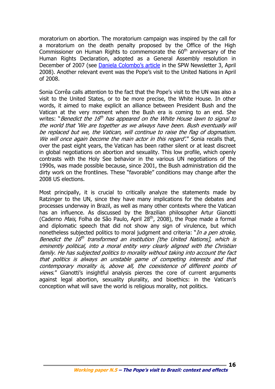moratorium on abortion. The moratorium campaign was inspired by the call for a moratorium on the death penalty proposed by the Office of the High Commissioner on Human Rights to commemorate the  $60<sup>th</sup>$  anniversary of the Human Rights Declaration, adopted as a General Assembly resolution in December of 2007 (see Daniela Colombo's article in the SPW Newsletter 3, April 2008). Another relevant event was the Pope's visit to the United Nations in April of 2008.

Sonia Corrêa calls attention to the fact that the Pope's visit to the UN was also a visit to the United States, or to be more precise, the White House. In other words, it aimed to make explicit an alliance between President Bush and the Vatican at the very moment when the Bush era is coming to an end. She writes: "Benedict the 16<sup>th</sup> has appeared on the White House lawn to signal to the world that 'We are together as we always have been. Bush eventually will be replaced but we, the Vatican, will continue to raise the flag of dogmatism. We will once again become the main actor in this regard'." Sonia recalls that, over the past eight years, the Vatican has been rather silent or at least discreet in global negotiations on abortion and sexuality. This low profile, which openly contrasts with the Holy See behavior in the various UN negotiations of the 1990s, was made possible because, since 2001, the Bush administration did the dirty work on the frontlines. These "favorable" conditions may change after the 2008 US elections.

Most principally, it is crucial to critically analyze the statements made by Ratzinger to the UN, since they have many implications for the debates and processes underway in Brazil, as well as many other contexts where the Vatican has an influence. As discussed by the Brazilian philosopher Artur Gianotti (Caderno *Mais*, Folha de São Paulo, April 28<sup>th</sup>, 2008), the Pope made a formal and diplomatic speech that did not show any sign of virulence, but which nonetheless subjected politics to moral judgment and criteria: "*In a pen stroke*, Benedict the 16<sup>th</sup> transformed an institution [the United Nations], which is eminently political, into a moral entity very clearly aligned with the Christian family. He has subjected politics to morality without taking into account the fact that politics is always an unstable game of competing interests and that contemporary morality is, above all, the coexistence of different points of views." Gianotti's insightful analysis pierces the core of current arguments against legal abortion, sexuality plurality, and bioethics: in the Vatican's conception what will save the world is religious morality, not politics.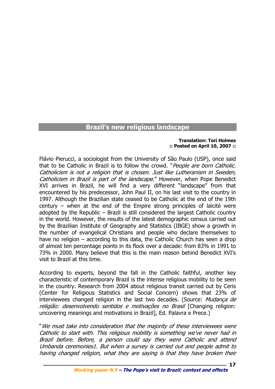# **Brazil's new religious landscape**

#### **Translation: Tori Holmes :: Posted on April 10, 2007 ::**

**17**

Flávio Pierucci, a sociologist from the University of São Paulo (USP), once said that to be Catholic in Brazil is to follow the crowd. "People are born Catholic. Catholicism is not a religion that is chosen. Just like Lutheranism in Sweden, Catholicism in Brazil is part of the landscape." However, when Pope Benedict XVI arrives in Brazil, he will find a very different "landscape" from that encountered by his predecessor, John Paul II, on his last visit to the country in 1997. Although the Brazilian state ceased to be Catholic at the end of the 19th century – when at the end of the Empire strong principles of laïcité were adopted by the Republic – Brazil is still considered the largest Catholic country in the world. However, the results of the latest demographic census carried out by the Brazilian Institute of Geography and Statistics (IBGE) show a growth in the number of evangelical Christians and people who declare themselves to have no religion – according to this data, the Catholic Church has seen a drop of almost ten percentage points in its flock over a decade: from 83% in 1991 to 73% in 2000. Many believe that this is the main reason behind Benedict XVI's visit to Brazil at this time.

According to experts, beyond the fall in the Catholic faithful, another key characteristic of contemporary Brazil is the intense religious mobility to be seen in the country. Research from 2004 about religious transit carried out by Ceris (Center for Religious Statistics and Social Concern) shows that 23% of interviewees changed religion in the last two decades. (Source: Mudança de religião: desenvolvendo sentidos e motivações no Brasil [Changing religion: uncovering meanings and motivations in Brazil], Ed. Palavra e Prece.)

"We must take into consideration that the majority of these interviewees were Catholic to start with. This religious mobility is something we've never had in Brazil before. Before, a person could say they were Catholic and attend Umbanda ceremonies1. But when a survey is carried out and people admit to having changed religion, what they are saying is that they have broken their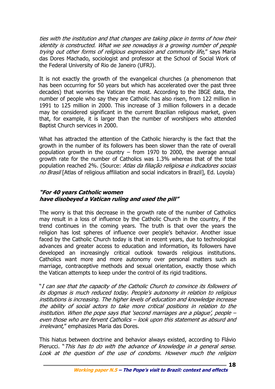ties with the institution and that changes are taking place in terms of how their identity is constructed. What we see nowadays is a growing number of people trying out other forms of religious expression and community life," says Maria das Dores Machado, sociologist and professor at the School of Social Work of the Federal University of Rio de Janeiro (UFRJ).

It is not exactly the growth of the evangelical churches (a phenomenon that has been occurring for 50 years but which has accelerated over the past three decades) that worries the Vatican the most. According to the IBGE data, the number of people who say they are Catholic has also risen, from 122 million in 1991 to 125 million in 2000. This increase of 3 million followers in a decade may be considered significant in the current Brazilian religious market, given that, for example, it is larger than the number of worshipers who attended Baptist Church services in 2000.

What has attracted the attention of the Catholic hierarchy is the fact that the growth in the number of its followers has been slower than the rate of overall population growth in the country – from 1970 to 2000, the average annual growth rate for the number of Catholics was 1.3% whereas that of the total population reached 2%. (Source: Atlas da filiação religiosa e indicadores sociais no Brasil [Atlas of religious affiliation and social indicators in Brazil], Ed. Lovola)

# **"For 40 years Catholic women have disobeyed a Vatican ruling and used the pill"**

The worry is that this decrease in the growth rate of the number of Catholics may result in a loss of influence by the Catholic Church in the country, if the trend continues in the coming years. The truth is that over the years the religion has lost spheres of influence over people's behavior. Another issue faced by the Catholic Church today is that in recent years, due to technological advances and greater access to education and information, its followers have developed an increasingly critical outlook towards religious institutions. Catholics want more and more autonomy over personal matters such as marriage, contraceptive methods and sexual orientation, exactly those which the Vatican attempts to keep under the control of its rigid traditions.

"I can see that the capacity of the Catholic Church to convince its followers of its dogmas is much reduced today. People's autonomy in relation to religious institutions is increasing. The higher levels of education and knowledge increase the ability of social actors to take more critical positions in relation to the institution. When the pope says that 'second marriages are a plague', people – even those who are fervent Catholics – look upon this statement as absurd and *irrelevant.*" emphasizes Maria das Dores.

This hiatus between doctrine and behavior always existed, according to Flávio Pierucci. "This has to do with the advance of knowledge in a general sense. Look at the question of the use of condoms. However much the religion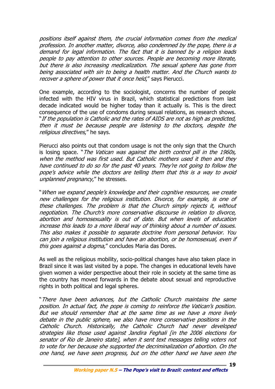positions itself against them, the crucial information comes from the medical profession. In another matter, divorce, also condemned by the pope, there is a demand for legal information. The fact that it is banned by a religion leads people to pay attention to other sources. People are becoming more literate, but there is also increasing medicalization. The sexual sphere has gone from being associated with sin to being a health matter. And the Church wants to recover a sphere of power that it once held," says Pierucci.

One example, according to the sociologist, concerns the number of people infected with the HIV virus in Brazil, which statistical predictions from last decade indicated would be higher today than it actually is. This is the direct consequence of the use of condoms during sexual relations, as research shows. "If the population is Catholic and the rates of AIDS are not as high as predicted, then it must be because people are listening to the doctors, despite the religious directives," he says.

Pierucci also points out that condom usage is not the only sign that the Church is losing space. "The Vatican was against the birth control pill in the 1960s, when the method was first used. But Catholic mothers used it then and they have continued to do so for the past 40 years. They're not going to follow the pope's advice while the doctors are telling them that this is a way to avoid unplanned pregnancy," he stresses.

"When we expand people's knowledge and their cognitive resources, we create new challenges for the religious institution. Divorce, for example, is one of these challenges. The problem is that the Church simply rejects it, without negotiation. The Church's more conservative discourse in relation to divorce, abortion and homosexuality is out of date. But when levels of education increase this leads to a more liberal way of thinking about a number of issues. This also makes it possible to separate doctrine from personal behavior. You can join a religious institution and have an abortion, or be homosexual, even if this goes against a dogma," concludes Maria das Dores.

As well as the religious mobility, socio-political changes have also taken place in Brazil since it was last visited by a pope. The changes in educational levels have given women a wider perspective about their role in society at the same time as the country has moved forwards in the debate about sexual and reproductive rights in both political and legal spheres.

"There have been advances, but the Catholic Church maintains the same position. In actual fact, the pope is coming to reinforce the Vatican's position. But we should remember that at the same time as we have a more lively debate in the public sphere, we also have more conservative positions in the Catholic Church. Historically, the Catholic Church had never developed strategies like those used against Jandira Feghali [in the 2006 elections for senator of Rio de Janeiro state], when it sent text messages telling voters not to vote for her because she supported the decriminalization of abortion. On the one hand, we have seen progress, but on the other hand we have seen the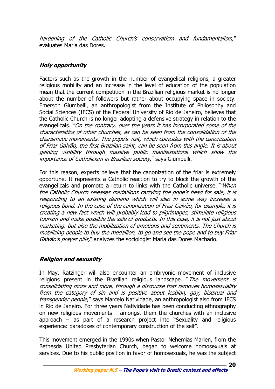hardening of the Catholic Church's conservatism and fundamentalism," evaluates Maria das Dores.

# **Holy opportunity**

Factors such as the growth in the number of evangelical religions, a greater religious mobility and an increase in the level of education of the population mean that the current competition in the Brazilian religious market is no longer about the number of followers but rather about occupying space in society. Emerson Giumbelli, an anthropologist from the Institute of Philosophy and Social Sciences (IFCS) of the Federal University of Rio de Janeiro, believes that the Catholic Church is no longer adopting a defensive strategy in relation to the evangelicals. "On the contrary, over the years it has incorporated some of the characteristics of other churches, as can be seen from the consolidation of the charismatic movements. The pope's visit, which coincides with the canonization of Friar Galvão, the first Brazilian saint, can be seen from this angle. It is about gaining visibility through massive public manifestations which show the importance of Catholicism in Brazilian society," says Giumbelli.

For this reason, experts believe that the canonization of the friar is extremely opportune. It represents a Catholic reaction to try to block the growth of the evangelicals and promote a return to links with the Catholic universe. "*When* the Catholic Church releases medallions carrying the pope's head for sale, it is responding to an existing demand which will also in some way increase a religious bond. In the case of the canonization of Friar Galvão, for example, it is creating a new fact which will probably lead to pilgrimages, stimulate religious tourism and make possible the sale of products. In this case, it is not just about marketing, but also the mobilization of emotions and sentiments. The Church is mobilizing people to buy the medallion, to go and see the pope and to buy Friar Galvão's prayer pills," analyzes the sociologist Maria das Dores Machado.

# **Religion and sexuality**

In May, Ratzinger will also encounter an embryonic movement of inclusive religions present in the Brazilian religious landscape. "The movement is consolidating more and more, through a discourse that removes homosexuality from the category of sin and is positive about lesbian, gay, bisexual and transgender people," says Marcelo Natividade, an anthropologist also from IFCS in Rio de Janeiro. For three years Natividade has been conducting ethnography on new religious movements – amongst them the churches with an inclusive approach – as part of a research project into "Sexuality and religious experience: paradoxes of contemporary construction of the self".

This movement emerged in the 1990s when Pastor Nehemias Marien, from the Bethesda United Presbyterian Church, began to welcome homosexuals at services. Due to his public position in favor of homosexuals, he was the subject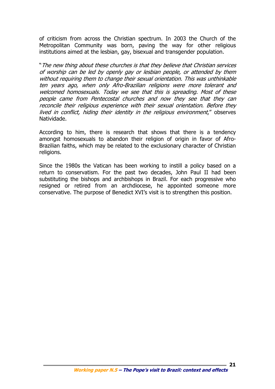of criticism from across the Christian spectrum. In 2003 the Church of the Metropolitan Community was born, paving the way for other religious institutions aimed at the lesbian, gay, bisexual and transgender population.

"The new thing about these churches is that they believe that Christian services of worship can be led by openly gay or lesbian people, or attended by them without requiring them to change their sexual orientation. This was unthinkable ten years ago, when only Afro-Brazilian religions were more tolerant and welcomed homosexuals. Today we see that this is spreading. Most of these people came from Pentecostal churches and now they see that they can reconcile their religious experience with their sexual orientation. Before they lived in conflict, hiding their identity in the religious environment," observes Natividade.

According to him, there is research that shows that there is a tendency amongst homosexuals to abandon their religion of origin in favor of Afro-Brazilian faiths, which may be related to the exclusionary character of Christian religions.

Since the 1980s the Vatican has been working to instill a policy based on a return to conservatism. For the past two decades, John Paul II had been substituting the bishops and archbishops in Brazil. For each progressive who resigned or retired from an archdiocese, he appointed someone more conservative. The purpose of Benedict XVI's visit is to strengthen this position.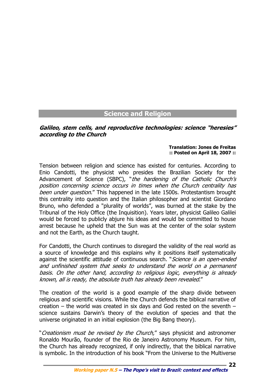# **Science and Religion**

#### **Galileo, stem cells, and reproductive technologies: science "heresies" according to the Church**

#### **Translation: Jones de Freitas :: Posted on April 18, 2007 ::**

**22**

Tension between religion and science has existed for centuries. According to Enio Candotti, the physicist who presides the Brazilian Society for the Advancement of Science (SBPC), "the hardening of the Catholic Church's position concerning science occurs in times when the Church centrality has been under question." This happened in the late 1500s. Protestantism brought this centrality into question and the Italian philosopher and scientist Giordano Bruno, who defended a "plurality of worlds", was burned at the stake by the Tribunal of the Holy Office (the Inquisition). Years later, physicist Galileo Galilei would be forced to publicly abjure his ideas and would be committed to house arrest because he upheld that the Sun was at the center of the solar system and not the Earth, as the Church taught.

For Candotti, the Church continues to disregard the validity of the real world as a source of knowledge and this explains why it positions itself systematically against the scientific attitude of continuous search. "Science is an open-ended and unfinished system that seeks to understand the world on a permanent basis. On the other hand, according to religious logic, everything is already known, all is ready, the absolute truth has already been revealed."

The creation of the world is a good example of the sharp divide between religious and scientific visions. While the Church defends the biblical narrative of creation – the world was created in six days and God rested on the seventh – science sustains Darwin's theory of the evolution of species and that the universe originated in an initial explosion (the Big Bang theory).

"Creationism must be revised by the Church," says physicist and astronomer Ronaldo Mourão, founder of the Rio de Janeiro Astronomy Museum. For him, the Church has already recognized, if only indirectly, that the biblical narrative is symbolic. In the introduction of his book "From the Universe to the Multiverse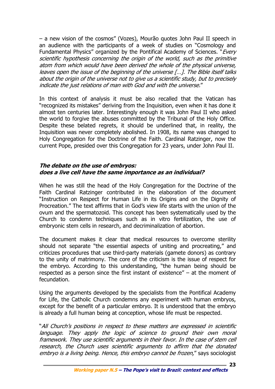– a new vision of the cosmos" (Vozes), Mourão quotes John Paul II speech in an audience with the participants of a week of studies on "Cosmology and Fundamental Physics" organized by the Pontifical Academy of Sciences. "Every scientific hypothesis concerning the origin of the world, such as the primitive atom from which would have been derived the whole of the physical universe, leaves open the issue of the beginning of the universe […]. The Bible itself talks about the origin of the universe not to give us a scientific study, but to precisely indicate the just relations of man with God and with the universe."

In this context of analysis it must be also recalled that the Vatican has "recognized its mistakes" deriving from the Inquisition, even when it has done it almost ten centuries later. Interestingly enough it was John Paul II who asked the world to forgive the abuses committed by the Tribunal of the Holy Office. Despite these belated regrets, it should be underlined that, in reality, the Inquisition was never completely abolished. In 1908, its name was changed to Holy Congregation for the Doctrine of the Faith. Cardinal Ratzinger, now the current Pope, presided over this Congregation for 23 years, under John Paul II.

#### **The debate on the use of embryos: does a live cell have the same importance as an individual?**

When he was still the head of the Holy Congregation for the Doctrine of the Faith Cardinal Ratzinger contributed in the elaboration of the document "Instruction on Respect for Human Life in its Origins and on the Dignity of Procreation." The text affirms that in God's view life starts with the union of the ovum and the spermatozoid. This concept has been systematically used by the Church to condemn techniques such as in vitro fertilization, the use of embryonic stem cells in research, and decriminalization of abortion.

The document makes it clear that medical resources to overcome sterility should not separate "the essential aspects of uniting and procreating," and criticizes procedures that use third-party materials (gamete donors) as contrary to the unity of matrimony. The core of the criticism is the issue of respect for the embryo. According to this understanding, "the human being should be respected as a person since the first instant of existence" – at the moment of fecundation.

Using the arguments developed by the specialists from the Pontifical Academy for Life, the Catholic Church condemns any experiment with human embryos, except for the benefit of a particular embryo. It is understood that the embryo is already a full human being at conception, whose life must be respected.

"All Church's positions in respect to these matters are expressed in scientific language. They apply the logic of science to ground their own moral framework. They use scientific arguments in their favor. In the case of stem cell research, the Church uses scientific arguments to affirm that the donated embryo is a living being. Hence, this embryo cannot be frozen," says sociologist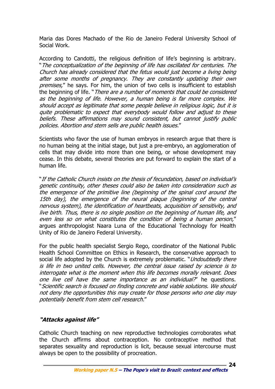Maria das Dores Machado of the Rio de Janeiro Federal University School of Social Work.

According to Candotti, the religious definition of life's beginning is arbitrary. "The conceptualization of the beginning of life has oscillated for centuries. The Church has already considered that the fetus would just become a living being after some months of pregnancy. They are constantly updating their own premises," he says. For him, the union of two cells is insufficient to establish the beginning of life. "*There are a number of moments that could be considered* as the beginning of life. However, a human being is far more complex. We should accept as legitimate that some people believe in religious logic, but it is quite problematic to expect that everybody would follow and adjust to these beliefs. These affirmations may sound consistent, but cannot justify public policies. Abortion and stem sells are public health issues."

Scientists who favor the use of human embryos in research argue that there is no human being at the initial stage, but just a pre-embryo, an agglomeration of cells that may divide into more than one being, or whose development may cease. In this debate, several theories are put forward to explain the start of a human life.

"If the Catholic Church insists on the thesis of fecundation, based on individual's genetic continuity, other theses could also be taken into consideration such as the emergence of the primitive line (beginning of the spinal cord around the 15th day), the emergence of the neural plaque (beginning of the central nervous system), the identification of heartbeats, acquisition of sensitivity, and live birth. Thus, there is no single position on the beginning of human life, and even less so on what constitutes the condition of being a human person," argues anthropologist Naara Luna of the Educational Technology for Health Unity of Rio de Janeiro Federal University.

For the public health specialist Sergio Rego, coordinator of the National Public Health School Committee on Ethics in Research, the conservative approach to social life adopted by the Church is extremely problematic. "Undoubtedly there is life in two united cells. However, the central issue raised by science is to interrogate what is the moment when this life becomes morally relevant. Does one live cell have the same importance as an individual?" he questions. "Scientific search is focused on finding concrete and viable solutions. We should not deny the opportunities this may create for those persons who one day may potentially benefit from stem cell research."

# **"Attacks against life"**

Catholic Church teaching on new reproductive technologies corroborates what the Church affirms about contraception. No contraceptive method that separates sexuality and reproduction is licit, because sexual intercourse must always be open to the possibility of procreation.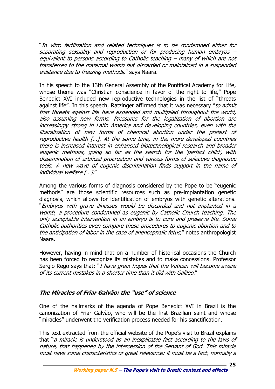"In vitro fertilization and related techniques is to be condemned either for separating sexuality and reproduction or for producing human embryos – equivalent to persons according to Catholic teaching – many of which are not transferred to the maternal womb but discarded or maintained in a suspended existence due to freezing methods," says Naara.

In his speech to the 13th General Assembly of the Pontifical Academy for Life, whose theme was "Christian conscience in favor of the right to life," Pope Benedict XVI included new reproductive technologies in the list of "threats against life". In this speech, Ratzinger affirmed that it was necessary "to admit that threats against life have expanded and multiplied throughout the world, also assuming new forms. Pressures for the legalization of abortion are increasingly strong in Latin America and developing countries, even with the liberalization of new forms of chemical abortion under the pretext of reproductive health […]. At the same time, in the more developed countries there is increased interest in enhanced biotechnological research and broader eugenic methods, going so far as the search for the 'perfect child', with dissemination of artificial procreation and various forms of selective diagnostic tools. A new wave of eugenic discrimination finds support in the name of individual welfare […]."

Among the various forms of diagnosis considered by the Pope to be "eugenic methods" are those scientific resources such as pre-implantation genetic diagnosis, which allows for identification of embryos with genetic alterations. "Embryos with grave illnesses would be discarded and not implanted in a womb, a procedure condemned as eugenic by Catholic Church teaching. The only acceptable intervention in an embryo is to cure and preserve life. Some Catholic authorities even compare these procedures to eugenic abortion and to the anticipation of labor in the case of anencephalic fetus," notes anthropologist Naara.

However, having in mind that on a number of historical occasions the Church has been forced to recognize its mistakes and to make concessions. Professor Sergio Rego says that: "*I have great hopes that the Vatican will become aware* of its current mistakes in a shorter time than it did with Galileo."

# **The Miracles of Friar Galvão: the "use" of science**

One of the hallmarks of the agenda of Pope Benedict XVI in Brazil is the canonization of Friar Galvão, who will be the first Brazilian saint and whose "miracles" underwent the verification process needed for his sanctification.

This text extracted from the official website of the Pope's visit to Brazil explains that "a miracle is understood as an inexplicable fact according to the laws of nature, that happened by the intercession of the Servant of God. This miracle must have some characteristics of great relevance: it must be a fact, normally a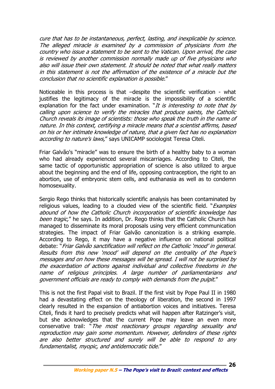cure that has to be instantaneous, perfect, lasting, and inexplicable by science. The alleged miracle is examined by a commission of physicians from the country who issue a statement to be sent to the Vatican. Upon arrival, the case is reviewed by another commission normally made up of five physicians who also will issue their own statement. It should be noted that what really matters in this statement is not the affirmation of the existence of a miracle but the conclusion that no scientific explanation is possible."

Noticeable in this process is that –despite the scientific verification - what justifies the legitimacy of the miracle is the impossibility of a scientific explanation for the fact under examination. "It is interesting to note that by calling upon science to verify the miracles that produce saints, the Catholic Church reveals its image of scientists: those who speak the truth in the name of nature. In this context, certifying a miracle means that a scientist affirms, based on his or her intimate knowledge of nature, that a given fact has no explanation according to nature's laws," says UNICAMP sociologist Teresa Citeli.

Friar Galvão's "miracle" was to ensure the birth of a healthy baby to a woman who had already experienced several miscarriages. According to Citeli, the same tactic of opportunistic appropriation of science is also utilized to argue about the beginning and the end of life, opposing contraception, the right to an abortion, use of embryonic stem cells, and euthanasia as well as to condemn homosexuality.

Sergio Rego thinks that historically scientific analysis has been contaminated by religious values, leading to a clouded view of the scientific field. "*Examples* abound of how the Catholic Church incorporation of scientific knowledge has been tragic," he says. In addition, Dr. Rego thinks that the Catholic Church has managed to disseminate its moral proposals using very efficient communication strategies. The impact of Friar Galvão canonization is a striking example. According to Rego, it may have a negative influence on national political debate: "Friar Galvão sanctification will reflect on the Catholic 'mood' in general. Results from this new 'mood' will depend on the centrality of the Pope's messages and on how these messages will be spread. I will not be surprised by the exacerbation of actions against individual and collective freedoms in the name of religious principles. A large number of parliamentarians and government officials are ready to comply with demands from the pulpit."

This is not the first Papal visit to Brazil. If the first visit by Pope Paul II in 1980 had a devastating effect on the theology of liberation, the second in 1997 clearly resulted in the expansion of antiabortion voices and initiatives. Teresa Citeli, finds it hard to precisely predicts what will happen after Ratzinger's visit, but she acknowledges that the current Pope may leave an even more conservative trail: "The most reactionary groups regarding sexuality and reproduction may gain some momentum. However, defenders of these rights are also better structured and surely will be able to respond to any fundamentalist, myopic, and antidemocratic tide."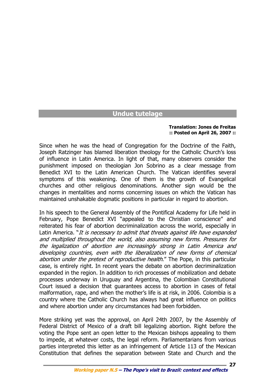# **Undue tutelage**

#### **Translation: Jones de Freitas :: Posted on April 26, 2007 ::**

**27**

Since when he was the head of Congregation for the Doctrine of the Faith, Joseph Ratzinger has blamed liberation theology for the Catholic Church's loss of influence in Latin America. In light of that, many observers consider the punishment imposed on theologian Jon Sobrino as a clear message from Benedict XVI to the Latin American Church. The Vatican identifies several symptoms of this weakening. One of them is the growth of Evangelical churches and other religious denominations. Another sign would be the changes in mentalities and norms concerning issues on which the Vatican has maintained unshakable dogmatic positions in particular in regard to abortion.

In his speech to the General Assembly of the Pontifical Academy for Life held in February, Pope Benedict XVI "appealed to the Christian conscience" and reiterated his fear of abortion decriminalization across the world, especially in Latin America. "It is necessary to admit that threats against life have expanded and multiplied throughout the world, also assuming new forms. Pressures for the legalization of abortion are increasingly strong in Latin America and developing countries, even with the liberalization of new forms of chemical abortion under the pretext of reproductive health." The Pope, in this particular case, is entirely right. In recent years the debate on abortion decriminalization expanded in the region. In addition to rich processes of mobilization and debate processes underway in Uruguay and Argentina, the Colombian Constitutional Court issued a decision that guarantees access to abortion in cases of fetal malformation, rape, and when the mother's life is at risk, in 2006. Colombia is a country where the Catholic Church has always had great influence on politics and where abortion under any circumstances had been forbidden.

More striking yet was the approval, on April 24th 2007, by the Assembly of Federal District of Mexico of a draft bill legalizing abortion. Right before the voting the Pope sent an open letter to the Mexican bishops appealing to them to impede, at whatever costs, the legal reform. Parliamentarians from various parties interpreted this letter as an infringement of Article 113 of the Mexican Constitution that defines the separation between State and Church and the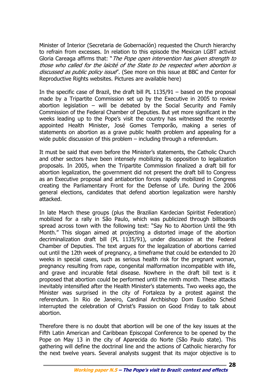Minister of Interior (Secretaria de Gobernacíón) requested the Church hierarchy to refrain from excesses. In relation to this episode the Mexican LGBT activist Gloria Careaga affirms that: "*The Pope open intervention has given strength to* those who called for the laïcité of the State to be respected when abortion is discussed as public policy issue". (See more on this issue at BBC and Center for Reproductive Rights websites. Pictures are available here)

In the specific case of Brazil, the draft bill PL 1135/91 – based on the proposal made by a Tripartite Commission set up by the Executive in 2005 to review abortion legislation – will be debated by the Social Security and Family Commission of the Federal Chamber of Deputies. But yet more significant in the weeks leading up to the Pope's visit the country has witnessed the recently appointed Health Minister, José Gomes Temporão, making a series of statements on abortion as a grave public health problem and appealing for a wide public discussion of this problem – including through a referendum.

It must be said that even before the Minister's statements, the Catholic Church and other sectors have been intensely mobilizing its opposition to legalization proposals. In 2005, when the Tripartite Commission finalized a draft bill for abortion legalization, the government did not present the draft bill to Congress as an Executive proposal and antiabortion forces rapidly mobilized in Congress creating the Parliamentary Front for the Defense of Life. During the 2006 general elections, candidates that defend abortion legalization were harshly attacked.

In late March these groups (plus the Brazilian Kardecian Spiritist Federation) mobilized for a rally in São Paulo, which was publicized through billboards spread across town with the following text: "Say No to Abortion Until the 9th Month." This slogan aimed at projecting a distorted image of the abortion decriminalization draft bill (PL 1135/91), under discussion at the Federal Chamber of Deputies. The text argues for the legalization of abortions carried out until the 12th week of pregnancy, a timeframe that could be extended to 20 weeks in special cases, such as serious health risk for the pregnant woman, pregnancy resulting from rape, congenital malformation incompatible with life, and grave and incurable fetal disease. Nowhere in the draft bill text is it proposed that abortion could be performed until the ninth month. These attacks inevitably intensified after the Health Minister's statements. Two weeks ago, the Minister was surprised in the city of Fortaleza by a protest against the referendum. In Rio de Janeiro, Cardinal Archbishop Dom Eusébio Scheid interrupted the celebration of Christ's Passion on Good Friday to talk about abortion.

Therefore there is no doubt that abortion will be one of the key issues at the Fifth Latin American and Caribbean Episcopal Conference to be opened by the Pope on May 13 in the city of Aparecida do Norte (São Paulo state). This gathering will define the doctrinal line and the actions of Catholic hierarchy for the next twelve years. Several analysts suggest that its major objective is to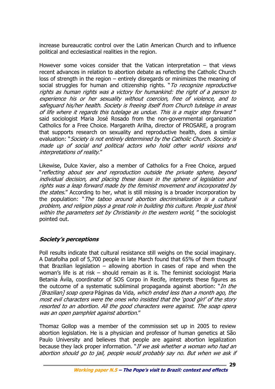increase bureaucratic control over the Latin American Church and to influence political and ecclesiastical realities in the region.

However some voices consider that the Vatican interpretation – that views recent advances in relation to abortion debate as reflecting the Catholic Church loss of strength in the region – entirely disregards or minimizes the meaning of social struggles for human and citizenship rights. "To recognize reproductive rights as human rights was a victory for humankind: the right of a person to experience his or her sexuality without coercion, free of violence, and to safeguard his/her health. Society is freeing itself from Church tutelage in areas of life where it regards this tutelage as undue. This is a major step forward " said sociologist Maria José Rosado from the non-governmental organization Catholics for a Free Choice. Margareth Arilha, director of PROSARE, a program that supports research on sexuality and reproductive health, does a similar evaluation: "Society is not entirely determined by the Catholic Church. Society is made up of social and political actors who hold other world visions and interpretations of reality."

Likewise, Dulce Xavier, also a member of Catholics for a Free Choice, argued "reflecting about sex and reproduction outside the private sphere, beyond individual decision, and placing these issues in the sphere of legislation and rights was a leap forward made by the feminist movement and incorporated by the states." According to her, what is still missing is a broader incorporation by the population: "The taboo around abortion decriminalization is a cultural problem, and religion plays a great role in building this culture. People just think within the parameters set by Christianity in the western world, " the sociologist pointed out.

# **Society's perceptions**

Poll results indicate that cultural resistance still weighs on the social imaginary. A Datafolha poll of 5,700 people in late March found that 65% of them thought that Brazilian legislation – allowing abortion in cases of rape and when the woman's life is at risk – should remain as it is. The feminist sociologist Maria Betania Ávila, coordinator of SOS Corpo in Recife, interprets these figures as the outcome of a systematic subliminal propaganda against abortion: "*In the* [Brazilian] soap opera Páginas da Vida, which ended less than a month ago, the most evil characters were the ones who insisted that the 'good girl' of the story resorted to an abortion. All the good characters were against. The soap opera was an open pamphlet against abortion."

Thomaz Gollop was a member of the commission set up in 2005 to review abortion legislation. He is a physician and professor of human genetics at São Paulo University and believes that people are against abortion legalization because they lack proper information. "If we ask whether a woman who had an abortion should go to jail, people would probably say no. But when we ask if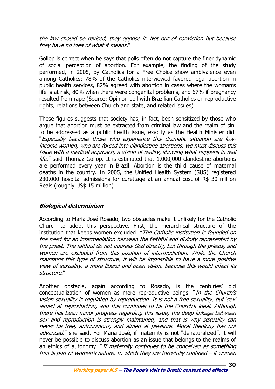the law should be revised, they oppose it. Not out of conviction but because they have no idea of what it means."

Gollop is correct when he says that polls often do not capture the finer dynamic of social perception of abortion. For example, the finding of the study performed, in 2005, by Catholics for a Free Choice show ambivalence even among Catholics: 78% of the Catholics interviewed favored legal abortion in public health services, 82% agreed with abortion in cases where the woman's life is at risk, 80% when there were congenital problems, and 67% if pregnancy resulted from rape (Source: Opinion poll with Brazilian Catholics on reproductive rights, relations between Church and state, and related issues).

These figures suggests that society has, in fact, been sensitized by those who argue that abortion must be extracted from criminal law and the realm of sin, to be addressed as a public health issue, exactly as the Health Minister did. "Especially because those who experience this dramatic situation are lowincome women, who are forced into clandestine abortions, we must discuss this issue with a medical approach, a vision of reality, showing what happens in real life," said Thomaz Gollop. It is estimated that 1,000,000 clandestine abortions are performed every year in Brazil. Abortion is the third cause of maternal deaths in the country. In 2005, the Unified Health System (SUS) registered 230,000 hospital admissions for curettage at an annual cost of R\$ 30 million Reais (roughly US\$ 15 million).

# **Biological determinism**

According to Maria José Rosado, two obstacles make it unlikely for the Catholic Church to adopt this perspective. First, the hierarchical structure of the institution that keeps women excluded. "The Catholic institution is founded on the need for an intermediation between the faithful and divinity represented by the priest. The faithful do not address God directly, but through the priests, and women are excluded from this position of intermediation. While the Church maintains this type of structure, it will be impossible to have a more positive view of sexuality, a more liberal and open vision, because this would affect its structure."

Another obstacle, again according to Rosado, is the centuries' old conceptualization of women as mere reproductive beings. "In the Church's vision sexuality is regulated by reproduction. It is not a free sexuality, but 'sex' aimed at reproduction, and this continues to be the Church's ideal. Although there has been minor progress regarding this issue, the deep linkage between sex and reproduction is strongly maintained, and that is why sexuality can never be free, autonomous, and aimed at pleasure. Moral theology has not advanced," she said. For Maria José, if maternity is not "denaturalized", it will never be possible to discuss abortion as an issue that belongs to the realms of an ethics of autonomy: "If maternity continues to be conceived as something that is part of women's nature, to which they are forcefully confined – if women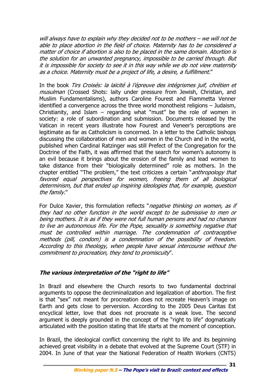will always have to explain why they decided not to be mothers – we will not be able to place abortion in the field of choice. Maternity has to be considered a matter of choice if abortion is also to be placed in the same domain. Abortion is the solution for an unwanted pregnancy, impossible to be carried through. But it is impossible for society to see it in this way while we do not view maternity as a choice. Maternity must be a project of life, a desire, a fulfillment."

In the book *Tirs Croisés: la laïcité à l'épreuve des intégrismes juif, chrétien et* musulman (Crossed Shots: laity under pressure from Jewish, Christian, and Muslim Fundamentalisms), authors Caroline Fourest and Fiammetta Venner identified a convergence across the three world monotheist religions – Judaism, Christianity, and Islam – regarding what "must" be the role of women in society: a role of subordination and submission. Documents released by the Vatican in recent years illustrate how Fourest and Veneer's perceptions are legitimate as far as Catholicism is concerned. In a letter to the Catholic bishops discussing the collaboration of men and women in the Church and in the world, published when Cardinal Ratzinger was still Prefect of the Congregation for the Doctrine of the Faith, it was affirmed that the search for women's autonomy is an evil because it brings about the erosion of the family and lead women to take distance from their "biologically determined" role as mothers. In the chapter entitled "The problem," the text criticizes a certain "*anthropology that* favored equal perspectives for women, freeing them of all biological determinism, but that ended up inspiring ideologies that, for example, question the family."

For Dulce Xavier, this formulation reflects "*negative thinking on women, as if* they had no other function in the world except to be submissive to men or being mothers. It is as if they were not full human persons and had no chances to live an autonomous life. For the Pope, sexuality is something negative that must be controlled within marriage. The condemnation of contraceptive methods (pill, condom) is a condemnation of the possibility of freedom. According to this theology, when people have sexual intercourse without the commitment to procreation, they tend to promiscuity".

# **The various interpretation of the "right to life"**

In Brazil and elsewhere the Church resorts to two fundamental doctrinal arguments to oppose the decriminalization and legalization of abortion. The first is that "sex" not meant for procreation does not recreate Heaven's image on Earth and gets close to perversion. According to the 2005 Deus Caritas Est encyclical letter, love that does not procreate is a weak love. The second argument is deeply grounded in the concept of the "right to life" dogmatically articulated with the position stating that life starts at the moment of conception.

In Brazil, the ideological conflict concerning the right to life and its beginning achieved great visibility in a debate that evolved at the Supreme Court (STF) in 2004. In June of that year the National Federation of Health Workers (CNTS)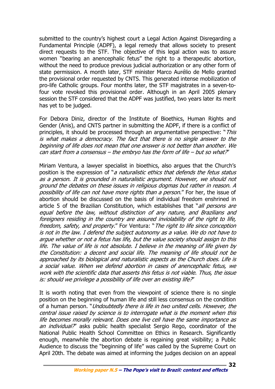submitted to the country's highest court a Legal Action Against Disregarding a Fundamental Principle (ADPF), a legal remedy that allows society to present direct requests to the STF. The objective of this legal action was to assure women "bearing an anencephalic fetus" the right to a therapeutic abortion, without the need to produce previous judicial authorization or any other form of state permission. A month later, STF minister Marco Aurélio de Mello granted the provisional order requested by CNTS. This generated intense mobilization of pro-life Catholic groups. Four months later, the STF magistrates in a seven-tofour vote revoked this provisional order. Although in an April 2005 plenary session the STF considered that the ADPF was justified, two years later its merit has yet to be judged.

For Debora Diniz, director of the Institute of Bioethics, Human Rights and Gender (Anis), and CNTS partner in submitting the ADPF, if there is a conflict of principles, it should be processed through an argumentative perspective: "This is what makes a democracy. The fact that there is no single answer to the beginning of life does not mean that one answer is not better than another. We can start from a consensus – the embryo has the form of life – but so what?"

Miriam Ventura, a lawyer specialist in bioethics, also argues that the Church's position is the expression of "*a naturalistic ethics that defends the fetus status* as a person. It is grounded in naturalistic argument. However, we should not ground the debates on these issues in religious dogmas but rather in reason. A possibility of life can not have more rights than a person." For her, the issue of abortion should be discussed on the basis of individual freedom enshrined in article 5 of the Brazilian Constitution, which establishes that "all persons are equal before the law, without distinction of any nature, and Brazilians and foreigners residing in the country are assured inviolability of the right to life, freedom, safety, and property." For Ventura: "The right to life since conception is not in the law. I defend the subject autonomy as a value. We do not have to argue whether or not a fetus has life, but the value society should assign to this life. The value of life is not absolute. I believe in the meaning of life given by the Constitution: a decent and social life. The meaning of life should not be approached by its biological and naturalistic aspects as the Church does. Life is a social value. When we defend abortion in cases of anencephalic fetus, we work with the scientific data that asserts this fetus is not viable. Thus, the issue is: should we privilege a possibility of life over an existing life?"

It is worth noting that even from the viewpoint of science there is no single position on the beginning of human life and still less consensus on the condition of a human person. "*Undoubtedly there is life in two united cells. However, the* central issue raised by science is to interrogate what is the moment when this life becomes morally relevant. Does one live cell have the same importance as an *individual?*" asks public health specialist Sergio Rego, coordinator of the National Public Health School Committee on Ethics in Research. Significantly enough, meanwhile the abortion debate is regaining great visibility; a Public Audience to discuss the "beginning of life" was called by the Supreme Court on April 20th. The debate was aimed at informing the judges decision on an appeal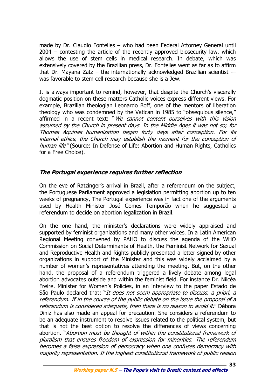made by Dr. Claudio Fontelles – who had been Federal Attorney General until 2004 – contesting the article of the recently approved biosecurity law, which allows the use of stem cells in medical research. In debate, which was extensively covered by the Brazilian press, Dr. Fontelles went as far as to affirm that Dr. Mayana Zatz – the internationally acknowledged Brazilian scientist -– was favorable to stem cell research because she is a Jew.

It is always important to remind, however, that despite the Church's viscerally dogmatic position on these matters Catholic voices express different views. For example, Brazilian theologian Leonardo Boff, one of the mentors of liberation theology who was condemned by the Vatican in 1985 to "obsequious silence," affirmed in a recent text: "We cannot content ourselves with this vision assumed by the Church in present days. In the Middle Ages it was not so; for Thomas Aquinas humanization began forty days after conception. For its internal ethics, the Church may establish the moment for the conception of human life" (Source: In Defense of Life: Abortion and Human Rights, Catholics for a Free Choice).

# **The Portugal experience requires further reflection**

On the eve of Ratzinger's arrival in Brazil, after a referendum on the subject, the Portuguese Parliament approved a legislation permitting abortion up to ten weeks of pregnancy, The Portugal experience was in fact one of the arguments used by Health Minister José Gomes Temporão when he suggested a referendum to decide on abortion legalization in Brazil.

On the one hand, the minister's declarations were widely appraised and supported by feminist organizations and many other voices. In a Latin American Regional Meeting convened by PAHO to discuss the agenda of the WHO Commission on Social Determinants of Health, the Feminist Network for Sexual and Reproductive Health and Rights publicly presented a letter signed by other organizations in support of the Minister and this was widely acclaimed by a number of women's representatives attending the meeting. But, on the other hand, the proposal of a referendum triggered a lively debate among legal abortion advocates outside and within the feminist field. For instance Dr. Nilcéa Freire. Minister for Women's Policies, in an interview to the paper Estado de São Paulo declared that: "It does not seem appropriate to discuss, a priori, a referendum. If in the course of the public debate on the issue the proposal of a referendum is considered adequate, then there is no reason to avoid it." Débora Diniz has also made an appeal for precaution. She considers a referendum to be an adequate instrument to resolve issues related to the political system, but that is not the best option to resolve the differences of views concerning abortion. "Abortion must be thought of within the constitutional framework of pluralism that ensures freedom of expression for minorities. The referendum becomes a false expression of democracy when one confuses democracy with majority representation. If the highest constitutional framework of public reason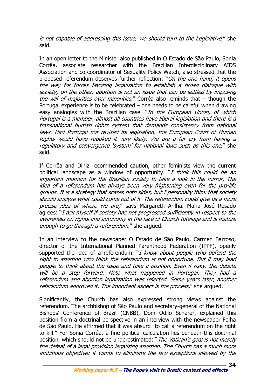is not capable of addressing this issue, we should turn to the Legislative," she said.

In an open letter to the Minister also published in O Estado de São Paulo, Sonia Corrêa, associate researcher with the Brazilian Interdisciplinary AIDS Association and co-coordinator of Sexuality Policy Watch, also stressed that the proposed referendum deserves further reflection: "*On the one hand, it opens* the way for forces favoring legalization to establish a broad dialogue with society; on the other, abortion is not an issue that can be settled by imposing the will of majorities over minorities." Corrêa also reminds that  $-$  though the Portugal experience is to be celebrated – one needs to be careful when drawing easy analogies with the Brazilian case. "In the European Union, of which Portugal is a member, almost all countries have liberal legislation and there is a transnational human rights system that demands consistency from national laws. Had Portugal not revised its legislation, the European Court of Human Rights would have rebuked it very likely. We are a far cry from having a regulatory and convergence 'system' for national laws such as this one," she said.

If Corrêa and Diniz recommended caution, other feminists view the current political landscape as a window of opportunity. "I think this could be an important moment for the Brazilian society to take a look in the mirror. The idea of a referendum has always been very frightening even for the pro-life groups. It is a strategy that scares both sides, but I personally think that society should analyze what could come out of it. The referendum could give us a more precise idea of where we are," says Margareth Arilha. Maria José Rosado agrees: "I ask myself if society has not progressed sufficiently in respect to the awareness on rights and autonomy in the face of Church tutelage and is mature enough to go through a referendum," she argued.

In an interview to the newspaper O Estado de São Paulo, Carmen Barroso, director of the International Planned Parenthood Federation (IPPF), openly supported the idea of a referendum. "I know about people who defend the right to abortion who think the referendum is not opportune. But it may lead people to think about the issue and take a position. Even if risky, the debate will be a step forward. Note what happened in Portugal. They had a referendum and abortion legalization was rejected. Some years later, another referendum approved it. The important aspect is the process," she arqued.

Significantly, the Church has also expressed strong views against the referendum. The archbishop of São Paulo and secretary-general of the National Bishops' Conference of Brazil (CNBB), Dom Odilo Scherer, explained this position from a doctrinal perspective in an interview with the newspaper Folha de São Paulo. He affirmed that it was absurd "to call a referendum on the right to kill." For Sonia Corrêa, a fine political calculation lies beneath this doctrinal position, which should not be underestimated: "The Vatican's goal is not merely the defeat of a legal provision legalizing abortion. The Church has a much more ambitious objective: it wants to eliminate the few exceptions allowed by the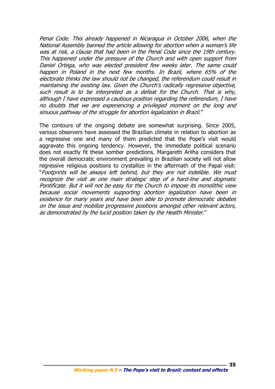Penal Code. This already happened in Nicaragua in October 2006, when the National Assembly banned the article allowing for abortion when a woman's life was at risk, a clause that had been in the Penal Code since the 19th century. This happened under the pressure of the Church and with open support from Daniel Ortega, who was elected president few weeks later. The same could happen in Poland in the next few months. In Brazil, where 65% of the electorate thinks the law should not be changed, the referendum could result in maintaining the existing law. Given the Church's radically regressive objective, such result is to be interpreted as a defeat for the Church. That is why, although I have expressed a cautious position regarding the referendum, I have no doubts that we are experiencing a privileged moment on the long and sinuous pathway of the struggle for abortion legalization in Brazil."

The contours of the ongoing debate are somewhat surprising. Since 2005, various observers have assessed the Brazilian climate in relation to abortion as a regressive one and many of them predicted that the Pope's visit would aggravate this ongoing tendency. However, the immediate political scenario does not exactly fit these somber predictions. Margareth Arilha considers that the overall democratic environment prevailing in Brazilian society will not allow regressive religious positions to crystallize in the aftermath of the Papal visit: "Footprints will be always left behind, but they are not indelible. We must recognize the visit as one main strategic step of a hard-line and dogmatic Pontificate. But it will not be easy for the Church to impose its monolithic view because social movements supporting abortion legalization have been in existence for many years and have been able to promote democratic debates on the issue and mobilize progressive positions amongst other relevant actors, as demonstrated by the lucid position taken by the Health Minister."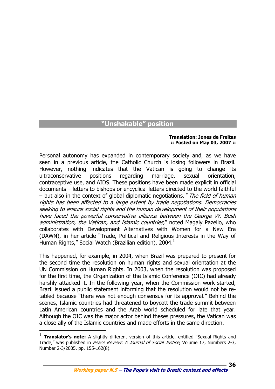# **"Unshakable" position**

#### **Translation: Jones de Freitas :: Posted on May 03, 2007 ::**

**36**

Personal autonomy has expanded in contemporary society and, as we have seen in a previous article, the Catholic Church is losing followers in Brazil. However, nothing indicates that the Vatican is going to change its ultraconservative positions regarding marriage, sexual orientation, contraceptive use, and AIDS. These positions have been made explicit in official documents – letters to bishops or encyclical letters directed to the world faithful – but also in the context of global diplomatic negotiations. "The field of human rights has been affected to a large extent by trade negotiations. Democracies seeking to ensure social rights and the human development of their populations have faced the powerful conservative alliance between the George W. Bush administration, the Vatican, and Islamic countries," noted Magaly Pazello, who collaborates with Development Alternatives with Women for a New Era (DAWN), in her article "Trade, Political and Religious Interests in the Way of Human Rights," Social Watch (Brazilian edition), 2004. $^1$ 

This happened, for example, in 2004, when Brazil was prepared to present for the second time the resolution on human rights and sexual orientation at the UN Commission on Human Rights. In 2003, when the resolution was proposed for the first time, the Organization of the Islamic Conference (OIC) had already harshly attacked it. In the following year, when the Commission work started, Brazil issued a public statement informing that the resolution would not be retabled because "there was not enough consensus for its approval." Behind the scenes, Islamic countries had threatened to boycott the trade summit between Latin American countries and the Arab world scheduled for late that year. Although the OIC was the major actor behind theses pressures, the Vatican was a close ally of the Islamic countries and made efforts in the same direction.

 $\overline{a}$ 

**Working paper N.5 – The Pope's visit to Brazil: context and effects** 

<sup>&</sup>lt;sup>1</sup> **Translator's note:** A slightly different version of this article, entitled "Sexual Rights and Trade," was published in Peace Review: A Journal of Social Justice, Volume 17, Numbers 2-3, Number 2-3/2005, pp. 155-162(8).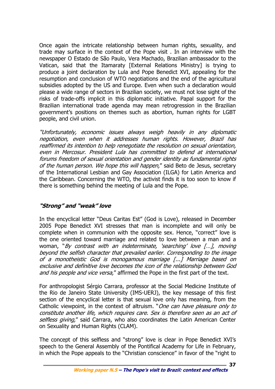Once again the intricate relationship between human rights, sexuality, and trade may surface in the context of the Pope visit . In an interview with the newspaper O Estado de São Paulo, Vera Machado, Brazilian ambassador to the Vatican, said that the Itamaraty [External Relations Ministry] is trying to produce a joint declaration by Lula and Pope Benedict XVI, appealing for the resumption and conclusion of WTO negotiations and the end of the agricultural subsidies adopted by the US and Europe. Even when such a declaration would please a wide range of sectors in Brazilian society, we must not lose sight of the risks of trade-offs implicit in this diplomatic initiative. Papal support for the Brazilian international trade agenda may mean retrogression in the Brazilian government's positions on themes such as abortion, human rights for LGBT people, and civil union.

"Unfortunately, economic issues always weigh heavily in any diplomatic negotiation, even when it addresses human rights. However, Brazil has reaffirmed its intention to help renegotiate the resolution on sexual orientation, even in Mercosur. President Lula has committed to defend at international forums freedom of sexual orientation and gender identity as fundamental rights of the human person. We hope this will happen," said Beto de Jesus, secretary of the International Lesbian and Gay Association (ILGA) for Latin America and the Caribbean. Concerning the WTO, the activist finds it is too soon to know if there is something behind the meeting of Lula and the Pope.

# **"Strong" and "weak" love**

In the encyclical letter "Deus Caritas Est" (God is Love), released in December 2005 Pope Benedict XVI stresses that man is incomplete and will only be complete when in communion with the opposite sex. Hence, "correct" love is the one oriented toward marriage and related to love between a man and a woman, "By contrast with an indeterminate, 'searching' love [...], moving beyond the selfish character that prevailed earlier. Corresponding to the image of a monotheistic God is monogamous marriage [...] Marriage based on exclusive and definitive love becomes the icon of the relationship between God and his people and vice versa," affirmed the Pope in the first part of the text.

For anthropologist Sérgio Carrara, professor at the Social Medicine Institute of the Rio de Janeiro State University (IMS-UERJ), the key message of this first section of the encyclical letter is that sexual love only has meaning, from the Catholic viewpoint, in the context of altruism. "One can have pleasure only to constitute another life, which requires care. Sex is therefore seen as an act of selfless giving," said Carrara, who also coordinates the Latin American Center on Sexuality and Human Rights (CLAM).

The concept of this selfless and "strong" love is clear in Pope Benedict XVI's speech to the General Assembly of the Pontifical Academy for Life in February, in which the Pope appeals to the "Christian conscience" in favor of the "right to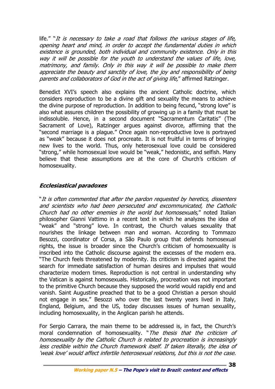life." "It is necessary to take a road that follows the various stages of life, opening heart and mind, in order to accept the fundamental duties in which existence is grounded, both individual and community existence. Only in this way it will be possible for the youth to understand the values of life, love, matrimony, and family. Only in this way it will be possible to make them appreciate the beauty and sanctity of love, the joy and responsibility of being parents and collaborators of God in the act of giving life," affirmed Ratzinger.

Benedict XVI's speech also explains the ancient Catholic doctrine, which considers reproduction to be a divine gift and sexuality the means to achieve the divine purpose of reproduction. In addition to being fecund, "strong love" is also what assures children the possibility of growing up in a family that must be indissoluble. Hence, in a second document "Sacramentum Caritatis" (The Sacrament of Love), Ratzinger argues against divorce, affirming that the "second marriage is a plague." Once again non-reproductive love is portrayed as "weak" because it does not procreate. It is not fruitful in terms of bringing new lives to the world. Thus, only heterosexual love could be considered "strong," while homosexual love would be "weak," hedonistic, and selfish. Many believe that these assumptions are at the core of Church's criticism of homosexuality.

# **Ecclesiastical paradoxes**

"It is often commented that after the pardon requested by heretics, dissenters and scientists who had been persecuted and excommunicated, the Catholic Church had no other enemies in the world but homosexuals," noted Italian philosopher Gianni Vattimo in a recent text in which he analyzes the idea of "weak" and "strong" love. In contrast, the Church values sexuality that nourishes the linkage between man and woman. According to Tommazo Besozzi, coordinator of Corsa, a São Paulo group that defends homosexual rights, the issue is broader since the Church's criticism of homosexuality is inscribed into the Catholic discourse against the excesses of the modern era. "The Church feels threatened by modernity. Its criticism is directed against the search for immediate satisfaction of human desires and impulses that would characterize modern times. Reproduction is not central in understanding why the Vatican is against homosexuals. Historically, procreation was not important to the primitive Church because they supposed the world would rapidly end and vanish. Saint Augustine preached that to be a good Christian a person should not engage in sex." Besozzi who over the last twenty years lived in Italy, England, Belgium, and the US, today discusses issues of human sexuality, including homosexuality, in the Anglican parish he attends.

For Sergio Carrara, the main theme to be addressed is, in fact, the Church's moral condemnation of homosexuality. "The thesis that the criticism of homosexuality by the Catholic Church is related to procreation is increasingly less credible within the Church framework itself. If taken literally, the idea of 'weak love' would affect infertile heterosexual relations, but this is not the case.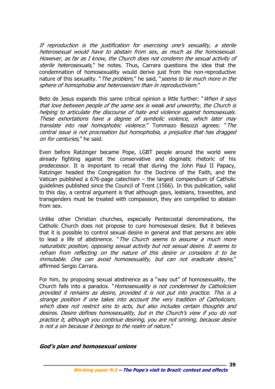If reproduction is the justification for exercising one's sexuality, a sterile heterosexual would have to abstain from sex, as much as the homosexual. However, as far as I know, the Church does not condemn the sexual activity of sterile heterosexuals," he notes. Thus, Carrara questions the idea that the condemnation of homosexuality would derive just from the non-reproductive nature of this sexuality. "*The problem*," he said, "seems to lie much more in the sphere of homophobia and heterosexism than in reproductivism."

Beto de Jesus expands this same critical opinion a little further: "*When it says* that love between people of the same sex is weak and unworthy, the Church is helping to articulate the discourse of hate and violence against homosexuals. These exhortations have a degree of symbolic violence, which later may translate into real homophobic violence." Tommazo Besozzi agrees: "The central issue is not procreation but homophobia, a prejudice that has dragged on for centuries," he said.

Even before Ratzinger became Pope, LGBT people around the world were already fighting against the conservative and dogmatic rhetoric of his predecessor. It is important to recall that during the John Paul II Papacy, Ratzinger headed the Congregation for the Doctrine of the Faith, and the Vatican published a 676-page catechism – the largest compendium of Catholic guidelines published since the Council of Trent (1566). In this publication, valid to this day, a central argument is that although gays, lesbians, travestites, and transgenders must be treated with compassion, they are compelled to abstain from sex.

Unlike other Christian churches, especially Pentecostal denominations, the Catholic Church does not propose to cure homosexual desire. But it believes that it is possible to control sexual desire in general and that persons are able to lead a life of abstinence. "The Church seems to assume a much more naturalistic position, opposing sexual activity but not sexual desire. It seems to refrain from reflecting on the nature of this desire or considers it to be immutable. One can avoid homosexuality, but can not eradicate desire," affirmed Sergio Carrara.

For him, by proposing sexual abstinence as a "way out" of homosexuality, the Church falls into a paradox. "Homosexuality is not condemned by Catholicism provided it remains as desire, provided it is not put into practice. This is a strange position if one takes into account the very tradition of Catholicism, which does not restrict sins to acts, but also includes certain thoughts and desires. Desire defines homosexuality, but in the Church's view if you do not practice it, although you continue desiring, you are not sinning, because desire is not a sin because it belongs to the realm of nature."

#### **God's plan and homosexual unions**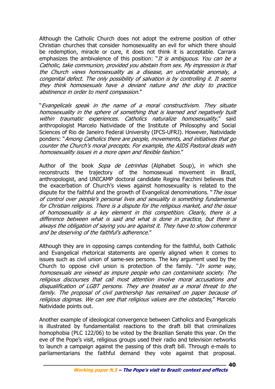Although the Catholic Church does not adopt the extreme position of other Christian churches that consider homosexuality an evil for which there should be redemption, miracle or cure, it does not think it is acceptable. Carrara emphasizes the ambivalence of this position: "It is ambiguous. You can be a Catholic, take communion, provided you abstain from sex. My impression is that the Church views homosexuality as a disease, an untreatable anomaly, a congenital defect. The only possibility of salvation is by controlling it. It seems they think homosexuals have a deviant nature and the duty to practice abstinence in order to merit compassion."

"Evangelicals speak in the name of a moral constructivism. They situate homosexuality in the sphere of something that is learned and negatively built within traumatic experiences. Catholics naturalize homosexuality," said anthropologist Marcelo Natividade of the Institute of Philosophy and Social Sciences of Rio de Janeiro Federal University (IFCS-UFRJ). However, Natividade ponders: "Among Catholics there are people, movements, and initiatives that go counter the Church's moral precepts. For example, the AIDS Pastoral deals with homosexuality issues in a more open and flexible fashion."

Author of the book *Sopa de Letrinhas* (Alphabet Soup), in which she reconstructs the trajectory of the homosexual movement in Brazil, anthropologist, and UNICAMP doctoral candidate Regina Facchini believes that the exacerbation of Church's views against homosexuality is related to the dispute for the faithful and the growth of Evangelical denominations. "*The issue* of control over people's personal lives and sexuality is something fundamental for Christian religions. There is a dispute for the religious market, and the issue of homosexuality is a key element in this competition. Clearly, there is a difference between what is said and what is done in practice, but there is always the obligation of saying you are against it. They have to show coherence and be deserving of the faithful's adherence."

Although they are in opposing camps contending for the faithful, both Catholic and Evangelical rhetorical statements are openly aligned when it comes to issues such as civil union of same-sex persons. The key argument used by the Church to oppose civil union is protection of the family. "In some way, homosexuals are viewed as impure people who can contaminate society. The religious discourses that call most attention involve moral accusations and disqualification of LGBT persons. They are treated as a moral threat to the family. The proposal of civil partnership has remained on paper because of religious dogmas. We can see that religious values are the obstacles," Marcelo Natividade points out.

Another example of ideological convergence between Catholics and Evangelicals is illustrated by fundamentalist reactions to the draft bill that criminalizes homophobia (PLC 122/06) to be voted by the Brazilian Senate this year. On the eve of the Pope's visit, religious groups used their radio and television networks to launch a campaign against the passing of this draft bill. Through e-mails to parliamentarians the faithful demand they vote against that proposal.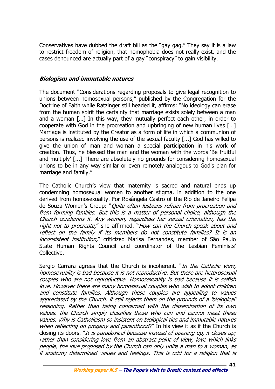Conservatives have dubbed the draft bill as the "gay gag." They say it is a law to restrict freedom of religion, that homophobia does not really exist, and the cases denounced are actually part of a gay "conspiracy" to gain visibility.

# **Biologism and immutable natures**

The document "Considerations regarding proposals to give legal recognition to unions between homosexual persons," published by the Congregation for the Doctrine of Faith while Ratzinger still headed it, affirms: "No ideology can erase from the human spirit the certainty that marriage exists solely between a man and a woman […] In this way, they mutually perfect each other, in order to cooperate with God in the procreation and upbringing of new human lives […] Marriage is instituted by the Creator as a form of life in which a communion of persons is realized involving the use of the sexual faculty [...] God has willed to give the union of man and woman a special participation in his work of creation. Thus, he blessed the man and the woman with the words 'Be fruitful and multiply' [...] There are absolutely no grounds for considering homosexual unions to be in any way similar or even remotely analogous to God's plan for marriage and family."

The Catholic Church's view that maternity is sacred and natural ends up condemning homosexual women to another stigma, in addition to the one derived from homosexuality. For Rosângela Castro of the Rio de Janeiro Felipa de Souza Women's Group: "Quite often lesbians refrain from procreation and from forming families. But this is a matter of personal choice, although the Church condemns it. Any woman, regardless her sexual orientation, has the right not to procreate," she affirmed. "How can the Church speak about and reflect on the family if its members do not constitute families? It is an inconsistent institution," criticized Marisa Fernandes, member of São Paulo State Human Rights Council and coordinator of the Lesbian Feminists' Collective.

Sergio Carrara agrees that the Church is incoherent. "In the Catholic view, homosexuality is bad because it is not reproductive. But there are heterosexual couples who are not reproductive. Homosexuality is bad because it is selfish love. However there are many homosexual couples who wish to adopt children and constitute families. Although these couples are appealing to values appreciated by the Church, it still rejects them on the grounds of a 'biological' reasoning. Rather than being concerned with the dissemination of its own values, the Church simply classifies those who can and cannot meet these values. Why is Catholicism so insistent on biological ties and immutable natures when reflecting on progeny and parenthood?" In his view it as if the Church is closing its doors. "It is paradoxical because instead of opening up, it closes up; rather than considering love from an abstract point of view, love which links people, the love proposed by the Church can only unite a man to a woman, as if anatomy determined values and feelings. This is odd for a religion that is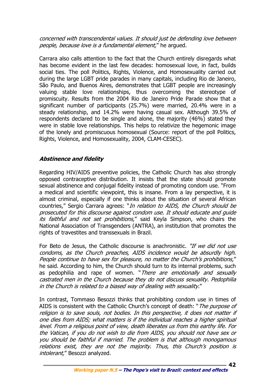concerned with transcendental values. It should just be defending love between people, because love is a fundamental element," he argued.

Carrara also calls attention to the fact that the Church entirely disregards what has become evident in the last few decades: homosexual love, in fact, builds social ties. The poll Politics, Rights, Violence, and Homosexuality carried out during the large LGBT pride parades in many capitals, including Rio de Janeiro, São Paulo, and Buenos Aires, demonstrates that LGBT people are increasingly valuing stable love relationships, thus overcoming the stereotype of promiscuity. Results from the 2004 Rio de Janeiro Pride Parade show that a significant number of participants (25.7%) were married, 20.4% were in a steady relationship, and 14.2% were having casual sex. Although 39.5% of respondents declared to be single and alone, the majority (46%) stated they were in stable love relationships. This helps to relativize the hegemonic image of the lonely and promiscuous homosexual (Source: report of the poll Politics, Rights, Violence, and Homosexuality, 2004, CLAM-CESEC).

# **Abstinence and fidelity**

Regarding HIV/AIDS preventive policies, the Catholic Church has also strongly opposed contraceptive distribution. It insists that the state should promote sexual abstinence and conjugal fidelity instead of promoting condom use. "From a medical and scientific viewpoint, this is insane. From a lay perspective, it is almost criminal, especially if one thinks about the situation of several African countries," Sergio Carrara agrees: "*In relation to AIDS, the Church should be* prosecuted for this discourse against condom use. It should educate and guide its faithful and not set prohibitions," said Keyla Simpson, who chairs the National Association of Transgenders (ANTRA), an institution that promotes the rights of travestites and transsexuals in Brazil.

For Beto de Jesus, the Catholic discourse is anachronistic. "If we did not use condoms, as the Church preaches, AIDS incidence would be absurdly high. People continue to have sex for pleasure, no matter the Church's prohibitions," he said. According to him, the Church should turn to its internal problems, such as pedophilia and rape of women. "There are emotionally and sexually castrated men in the Church because they do not discuss sexuality. Pedophilia in the Church is related to a biased way of dealing with sexuality."

In contrast, Tommaso Besozzi thinks that prohibiting condom use in times of AIDS is consistent with the Catholic Church's concept of death: "*The purpose of* religion is to save souls, not bodies. In this perspective, it does not matter if one dies from AIDS; what matters is if the individual reaches a higher spiritual level. From a religious point of view, death liberates us from this earthy life. For the Vatican, if you do not wish to die from AIDS, you should not have sex or you should be faithful if married. The problem is that although monogamous relations exist, they are not the majority. Thus, this Church's position is intolerant," Besozzi analyzed.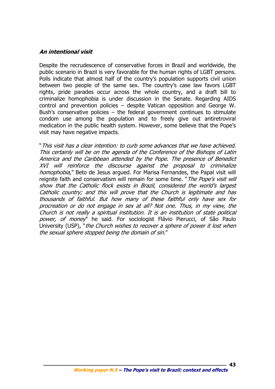## **An intentional visit**

Despite the recrudescence of conservative forces in Brazil and worldwide, the public scenario in Brazil is very favorable for the human rights of LGBT persons. Polls indicate that almost half of the country's population supports civil union between two people of the same sex. The country's case law favors LGBT rights, pride parades occur across the whole country, and a draft bill to criminalize homophobia is under discussion in the Senate. Regarding AIDS control and prevention policies – despite Vatican opposition and George W. Bush's conservative policies  $-$  the federal government continues to stimulate condom use among the population and to freely give out antiretroviral medication in the public health system. However, some believe that the Pope's visit may have negative impacts.

"This visit has a clear intention: to curb some advances that we have achieved. This certainly will be on the agenda of the Conference of the Bishops of Latin America and the Caribbean attended by the Pope. The presence of Benedict XVI will reinforce the discourse against the proposal to criminalize homophobia," Beto de Jesus argued. For Marisa Fernandes, the Papal visit will reignite faith and conservatism will remain for some time. "The Pope's visit will show that the Catholic flock exists in Brazil, considered the world's largest Catholic country; and this will prove that the Church is legitimate and has thousands of faithful. But how many of these faithful only have sex for procreation or do not engage in sex at all? Not one. Thus, in my view, the Church is not really a spiritual institution. It is an institution of state political power, of money" he said. For sociologist Flávio Pierucci, of São Paulo University (USP), "the Church wishes to recover a sphere of power it lost when the sexual sphere stopped being the domain of sin."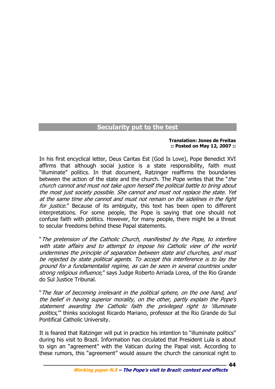# **Secularity put to the test**

#### **Translation: Jones de Freitas :: Posted on May 12, 2007 ::**

In his first encyclical letter, Deus Caritas Est (God Is Love), Pope Benedict XVI affirms that although social justice is a state responsibility, faith must "illuminate" politics. In that document, Ratzinger reaffirms the boundaries between the action of the state and the church. The Pope writes that the "*the* church cannot and must not take upon herself the political battle to bring about the most just society possible. She cannot and must not replace the state. Yet at the same time she cannot and must not remain on the sidelines in the fight for justice." Because of its ambiguity, this text has been open to different interpretations. For some people, the Pope is saying that one should not confuse faith with politics. However, for many people, there might be a threat to secular freedoms behind these Papal statements.

"The pretension of the Catholic Church, manifested by the Pope, to interfere with state affairs and to attempt to impose his Catholic view of the world undermines the principle of separation between state and churches, and must be rejected by state political agents. To accept this interference is to lay the ground for a fundamentalist regime, as can be seen in several countries under strong religious influence," says Judge Roberto Arriada Lorea, of the Rio Grande do Sul Justice Tribunal.

"The fear of becoming irrelevant in the political sphere, on the one hand, and the belief in having superior morality, on the other, partly explain the Pope's statement awarding the Catholic faith the privileged right to 'illuminate politics," thinks sociologist Ricardo Mariano, professor at the Rio Grande do Sul Pontifical Catholic University.

It is feared that Ratzinger will put in practice his intention to "illuminate politics" during his visit to Brazil. Information has circulated that President Lula is about to sign an "agreement" with the Vatican during the Papal visit. According to these rumors, this "agreement" would assure the church the canonical right to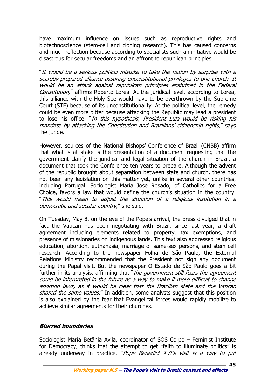have maximum influence on issues such as reproductive rights and biotechnoscience (stem-cell and cloning research). This has caused concerns and much reflection because according to specialists such an initiative would be disastrous for secular freedoms and an affront to republican principles.

"It would be a serious political mistake to take the nation by surprise with a secretly-prepared alliance assuring unconstitutional privileges to one church. It would be an attack against republican principles enshrined in the Federal Constitution," affirms Roberto Lorea. At the juridical level, according to Lorea, this alliance with the Holy See would have to be overthrown by the Supreme Court (STF) because of its unconstitutionality. At the political level, the remedy could be even more bitter because attacking the Republic may lead a president to lose his office. "In this hypothesis, President Lula would be risking his mandate by attacking the Constitution and Brazilians' citizenship rights," says the judge.

However, sources of the National Bishops' Conference of Brazil (CNBB) affirm that what is at stake is the presentation of a document requesting that the government clarify the juridical and legal situation of the church in Brazil, a document that took the Conference ten years to prepare. Although the advent of the republic brought about separation between state and church, there has not been any legislation on this matter yet, unlike in several other countries, including Portugal. Sociologist Maria Jose Rosado, of Catholics for a Free Choice, favors a law that would define the church's situation in the country. "This would mean to adjust the situation of a religious institution in a democratic and secular country," she said.

On Tuesday, May 8, on the eve of the Pope's arrival, the press divulged that in fact the Vatican has been negotiating with Brazil, since last year, a draft agreement including elements related to property, tax exemptions, and presence of missionaries on indigenous lands. This text also addressed religious education, abortion, euthanasia, marriage of same-sex persons, and stem cell research. According to the newspaper Folha de São Paulo, the External Relations Ministry recommended that the President not sign any document during the Papal visit. But the newspaper O Estado de São Paulo goes a bit further in its analysis, affirming that "the government still fears the agreement could be interpreted in the future as a way to make it more difficult to change abortion laws, as it would be clear that the Brazilian state and the Vatican shared the same values." In addition, some analysts suggest that this position is also explained by the fear that Evangelical forces would rapidly mobilize to achieve similar agreements for their churches.

# **Blurred boundaries**

Sociologist Maria Betânia Ávila, coordinator of SOS Corpo – Feminist Institute for Democracy, thinks that the attempt to get "faith to illuminate politics" is already underway in practice. "Pope Benedict XVI's visit is a way to put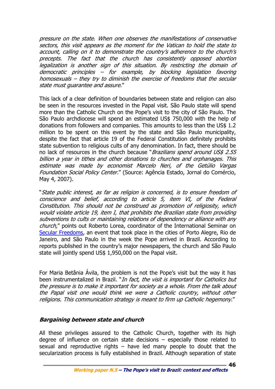pressure on the state. When one observes the manifestations of conservative sectors, this visit appears as the moment for the Vatican to hold the state to account, calling on it to demonstrate the country's adherence to the church's precepts. The fact that the church has consistently opposed abortion legalization is another sign of this situation. By restricting the domain of democratic principles – for example, by blocking legislation favoring homosexuals – they try to diminish the exercise of freedoms that the secular state must guarantee and assure."

This lack of a clear definition of boundaries between state and religion can also be seen in the resources invested in the Papal visit. São Paulo state will spend more than the Catholic Church on the Pope's visit to the city of São Paulo. The São Paulo archdiocese will spend an estimated US\$ 750,000 with the help of donations from followers and companies. This amounts to less than the US\$ 1.2 million to be spent on this event by the state and São Paulo municipality, despite the fact that article 19 of the Federal Constitution definitely prohibits state subvention to religious cults of any denomination. In fact, there should be no lack of resources in the church because "Brazilians spend around US\$ 2.55 billion a year in tithes and other donations to churches and orphanages. This estimate was made by economist Marcelo Neri, of the Getúlio Vargas Foundation Social Policy Center." (Source: Agência Estado, Jornal do Comércio, May 4, 2007).

"State public interest, as far as religion is concerned, is to ensure freedom of conscience and belief, according to article 5, item VI, of the Federal Constitution. This should not be construed as promotion of religiosity, which would violate article 19, item I, that prohibits the Brazilian state from providing subventions to cults or maintaining relations of dependency or alliance with any church," points out Roberto Lorea, coordinator of the International Seminar on Secular Freedoms, an event that took place in the cities of Porto Alegre, Rio de Janeiro, and São Paulo in the week the Pope arrived in Brazil. According to reports published in the country's major newspapers, the church and São Paulo state will jointly spend US\$ 1,950,000 on the Papal visit.

For Maria Betânia Ávila, the problem is not the Pope's visit but the way it has been instrumentalized in Brazil. "In fact, the visit is important for Catholics but the pressure is to make it important for society as a whole. From the talk about the Papal visit one would think we were a Catholic country, without other religions. This communication strategy is meant to firm up Catholic hegemony."

# **Bargaining between state and church**

All these privileges assured to the Catholic Church, together with its high degree of influence on certain state decisions – especially those related to sexual and reproductive rights  $-$  have led many people to doubt that the secularization process is fully established in Brazil. Although separation of state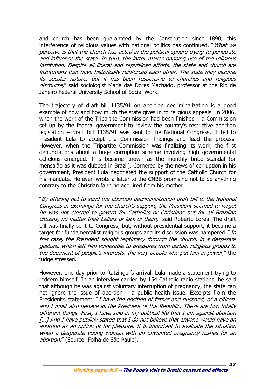and church has been guaranteed by the Constitution since 1890, this interference of religious values with national politics has continued. "*What we* perceive is that the church has acted in the political sphere trying to penetrate and influence the state. In turn, the latter makes ongoing use of the religious institution. Despite all liberal and republican efforts, the state and church are institutions that have historically reinforced each other. The state may assume its secular nature, but it has been responsive to churches and religious discourse," said sociologist Maria das Dores Machado, professor at the Rio de Janeiro Federal University School of Social Work.

The trajectory of draft bill 1135/91 on abortion decriminalization is a good example of how and how much the state gives in to religious appeals. In 2006, when the work of the Tripartite Commission had been finished – a Commission set up by the federal government to review the country's restrictive abortion legislation – draft bill 1135/91 was sent to the National Congress. It fell to President Lula to accept the Commission findings and lead the process. However, when the Tripartite Commission was finalizing its work, the first denunciations about a huge corruption scheme involving high governmental echelons emerged. This became known as the monthly bribe scandal (or mensalão as it was dubbed in Brazil). Cornered by the news of corruption in his government, President Lula negotiated the support of the Catholic Church for his mandate. He even wrote a letter to the CNBB promising not to do anything contrary to the Christian faith he acquired from his mother.

"By offering not to send the abortion decriminalization draft bill to the National Congress in exchange for the church's support, the President seemed to forget he was not elected to govern for Catholics or Christians but for all Brazilian citizens, no matter their beliefs or lack of them," said Roberto Lorea. The draft bill was finally sent to Congress; but, without presidential support, it became a target for fundamentalist religious groups and its discussion was hampered. " $In$ this case, the President sought legitimacy through the church, in a desperate gesture, which left him vulnerable to pressures from certain religious groups to the detriment of people's interests, the very people who put him in power," the judge stressed.

However, one day prior to Ratzinger's arrival, Lula made a statement trying to redeem himself. In an interview carried by 154 Catholic radio stations, he said that although he was against voluntary interruption of pregnancy, the state can not ignore the issue of abortion  $-$  a public health issue. Excerpts from the President's statement: "I have the position of father and husband, of a citizen, and I must also behave as the President of the Republic. These are two totally different things. First, I have said in my political life that I am against abortion [...] And I have publicly stated that I do not believe that anyone would have an abortion as an option or for pleasure. It is important to evaluate the situation when a desperate young woman with an unwanted pregnancy rushes for an abortion." (Source: Folha de São Paulo).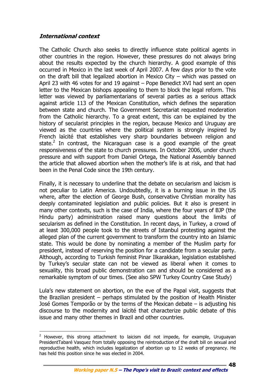## **International context**

 $\overline{a}$ 

The Catholic Church also seeks to directly influence state political agents in other countries in the region. However, these pressures do not always bring about the results expected by the church hierarchy. A good example of this occurred in Mexico in the last week of April 2007. A few days prior to the vote on the draft bill that legalized abortion in Mexico City – which was passed on April 23 with 46 votes for and 19 against – Pope Benedict XVI had sent an open letter to the Mexican bishops appealing to them to block the legal reform. This letter was viewed by parliamentarians of several parties as a serious attack against article 113 of the Mexican Constitution, which defines the separation between state and church. The Government Secretariat requested moderation from the Catholic hierarchy. To a great extent, this can be explained by the history of secularist principles in the region, because Mexico and Uruguay are viewed as the countries where the political system is strongly inspired by French laïcité that establishes very sharp boundaries between religion and state.<sup>2</sup> In contrast, the Nicaraguan case is a good example of the great responsiveness of the state to church pressures. In October 2006, under church pressure and with support from Daniel Ortega, the National Assembly banned the article that allowed abortion when the mother's life is at risk, and that had been in the Penal Code since the 19th century.

Finally, it is necessary to underline that the debate on secularism and laicism is not peculiar to Latin America. Undoubtedly, it is a burning issue in the US where, after the election of George Bush, conservative Christian morality has deeply contaminated legislation and public policies. But it also is present in many other contexts, such is the case of India, where the four years of BJP (the Hindu party) administration raised many questions about the limits of secularism as defined in the Constitution. In recent days, in Turkey, a crowd of at least 300,000 people took to the streets of Istanbul protesting against the alleged plan of the current government to transform the country into an Islamic state. This would be done by nominating a member of the Muslim party for president, instead of reserving the position for a candidate from a secular party. Although, according to Turkish feminist Pinar Ilkarakkan, legislation established by Turkey's secular state can not be viewed as liberal when it comes to sexuality, this broad public demonstration can and should be considered as a remarkable symptom of our times. (See also SPW Turkey Country Case Study)

Lula's new statement on abortion, on the eve of the Papal visit, suggests that the Brazilian president – perhaps stimulated by the position of Health Minister José Gomes Temporão or by the terms of the Mexican debate – is adjusting his discourse to the modernity and laïcité that characterize public debate of this issue and many other themes in Brazil and other countries.

<sup>&</sup>lt;sup>2</sup> However, this strong attachment to laicism did not impede, for example, Uruguayan PresidentTabaré Vasquez from totally opposing the reintroduction of the draft bill on sexual and reproductive health, which includes legalization of abortion up to 12 weeks of pregnancy. He has held this position since he was elected in 2004.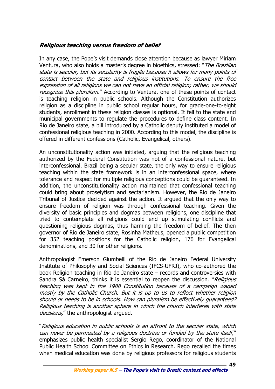# **Religious teaching versus freedom of belief**

In any case, the Pope's visit demands close attention because as lawyer Miriam Ventura, who also holds a master's degree in bioethics, stressed: "The Brazilian state is secular, but its secularity is fragile because it allows for many points of contact between the state and religious institutions. To ensure the free expression of all religions we can not have an official religion; rather, we should recognize this pluralism." According to Ventura, one of these points of contact is teaching religion in public schools. Although the Constitution authorizes religion as a discipline in public school regular hours, for grade-one-to-eight students, enrollment in these religion classes is optional. It fell to the state and municipal governments to regulate the procedures to define class content. In Rio de Janeiro state, a bill introduced by a Catholic deputy instituted a model of confessional religious teaching in 2000. According to this model, the discipline is offered in different confessions (Catholic, Evangelical, others).

An unconstitutionality action was initiated, arguing that the religious teaching authorized by the Federal Constitution was not of a confessional nature, but interconfessional. Brazil being a secular state, the only way to ensure religious teaching within the state framework is in an interconfessional space, where tolerance and respect for multiple religious conceptions could be guaranteed. In addition, the unconstitutionality action maintained that confessional teaching could bring about proselytism and sectarianism. However, the Rio de Janeiro Tribunal of Justice decided against the action. It argued that the only way to ensure freedom of religion was through confessional teaching. Given the diversity of basic principles and dogmas between religions, one discipline that tried to contemplate all religions could end up stimulating conflicts and questioning religious dogmas, thus harming the freedom of belief. The then governor of Rio de Janeiro state, Rosinha Matheus, opened a public competition for 352 teaching positions for the Catholic religion, 176 for Evangelical denominations, and 30 for other religions.

Anthropologist Emerson Giumbelli of the Rio de Janeiro Federal University Institute of Philosophy and Social Sciences (IFCS-UFRJ), who co-authored the book Religion teaching in Rio de Janeiro state – records and controversies with Sandra Sá Carneiro, thinks it is essential to reopen the discussion. "Religious teaching was kept in the 1988 Constitution because of a campaign waged mostly by the Catholic Church. But it is up to us to reflect whether religion should or needs to be in schools. How can pluralism be effectively guaranteed? Religious teaching is another sphere in which the church interferes with state decisions," the anthropologist arqued.

"Religious education in public schools is an affront to the secular state, which can never be permeated by a religious doctrine or funded by the state itself," emphasizes public health specialist Sergio Rego, coordinator of the National Public Health School Committee on Ethics in Research. Rego recalled the times when medical education was done by religious professors for religious students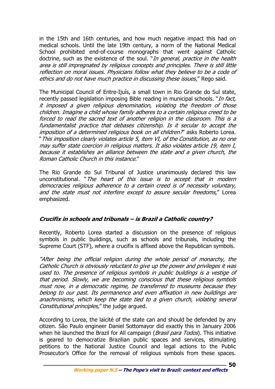in the 15th and 16th centuries, and how much negative impact this had on medical schools. Until the late 19th century, a norm of the National Medical School prohibited end-of-course monographs that went against Catholic doctrine, such as the existence of the soul. "*In general, practice in the health* area is still impregnated by religious concepts and principles. There is still little reflection on moral issues. Physicians follow what they believe to be a code of ethics and do not have much practice in discussing these issues," Rego said.

The Municipal Council of Entre-Ijuís, a small town in Rio Grande do Sul state, recently passed legislation imposing Bible reading in municipal schools. "*In fact,* it imposed a given religious denomination, violating the freedom of those children. Imagine a child whose family adheres to a certain religious creed to be forced to read the sacred text of another religion in the classroom. This is a fundamentalist practice that debases citizenship. Is it secular to accept the imposition of a determined religious book on all children?" asks Roberto Lorea. "This imposition clearly violates article 5, item VI, of the Constitution, as no one may suffer state coercion in religious matters. It also violates article 19, item I, because it establishes an alliance between the state and a given church, the Roman Catholic Church in this instance."

The Rio Grande do Sul Tribunal of Justice unanimously declared this law unconstitutional. "The heart of this issue is to accept that in modern democracies religious adherence to a certain creed is of necessity voluntary, and the state must not interfere except to assure secular freedoms," Lorea emphasized.

# **Crucifix in schools and tribunals – is Brazil a Catholic country?**

Recently, Roberto Lorea started a discussion on the presence of religious symbols in public buildings, such as schools and tribunals, including the Supreme Court (STF), where a crucifix is affixed above the Republican symbols.

"After being the official religion during the whole period of monarchy, the Catholic Church is obviously reluctant to give up the power and privileges it was used to. The presence of religious symbols in public buildings is a vestige of that period. Slowly, we are becoming conscious that these religious symbols must now, in a democratic regime, be transferred to museums because they belong to our past. Its permanence and even affixation in new buildings are anachronisms, which keep the state tied to a given church, violating several Constitutional principles," the judge argued.

According to Lorea, the laïcité of the state can and should be defended by any citizen. São Paulo engineer Daniel Sottomayor did exactly this in January 2006 when he launched the Brazil for All campaign (*Brasil para Todos*). This initiative is geared to democratize Brazilian public spaces and services, stimulating petitions to the National Justice Council and legal actions to the Public Prosecutor's Office for the removal of religious symbols from these spaces.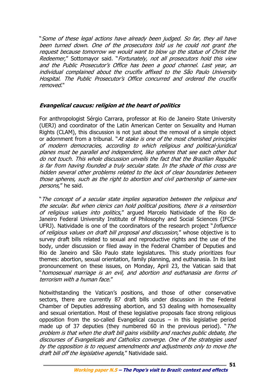"Some of these legal actions have already been judged. So far, they all have been turned down. One of the prosecutors told us he could not grant the request because tomorrow we would want to blow up the statue of Christ the Redeemer," Sottomayor said. "Fortunately, not all prosecutors hold this view and the Public Prosecutor's Office has been a good channel. Last year, an individual complained about the crucifix affixed to the São Paulo University Hospital. The Public Prosecutor's Office concurred and ordered the crucifix removed."

# **Evangelical caucus: religion at the heart of politics**

For anthropologist Sérgio Carrara, professor at Rio de Janeiro State University (UERJ) and coordinator of the Latin American Center on Sexuality and Human Rights (CLAM), this discussion is not just about the removal of a simple object or adornment from a tribunal. "At stake is one of the most cherished principles of modern democracies, according to which religious and political-juridical planes must be parallel and independent, like spheres that see each other but do not touch. This whole discussion unveils the fact that the Brazilian Republic is far from having founded a truly secular state. In the shade of this cross are hidden several other problems related to the lack of clear boundaries between those spheres, such as the right to abortion and civil partnership of same-sex persons," he said.

"The concept of a secular state implies separation between the religious and the secular. But when clerics can hold political positions, there is a reinsertion of religious values into politics," argued Marcelo Natividade of the Rio de Janeiro Federal University Institute of Philosophy and Social Sciences (IFCS-UFRJ). Natividade is one of the coordinators of the research project "*Influence* of religious values on draft bill proposal and discussion," whose objective is to survey draft bills related to sexual and reproductive rights and the use of the body, under discussion or filed away in the Federal Chamber of Deputies and Rio de Janeiro and São Paulo state legislatures. This study prioritizes four themes: abortion, sexual orientation, family planning, and euthanasia. In its last pronouncement on these issues, on Monday, April 23, the Vatican said that "homosexual marriage is an evil, and abortion and euthanasia are forms of terrorism with a human face."

Notwithstanding the Vatican's positions, and those of other conservative sectors, there are currently 87 draft bills under discussion in the Federal Chamber of Deputies addressing abortion, and 53 dealing with homosexuality and sexual orientation. Most of these legislative proposals face strong religious opposition from the so-called Evangelical caucus  $-$  in this legislative period made up of 37 deputies (they numbered 60 in the previous period). "The problem is that when the draft bill gains visibility and reaches public debate, the discourses of Evangelicals and Catholics converge. One of the strategies used by the opposition is to request amendments and adjustments only to move the draft bill off the legislative agenda," Natividade said.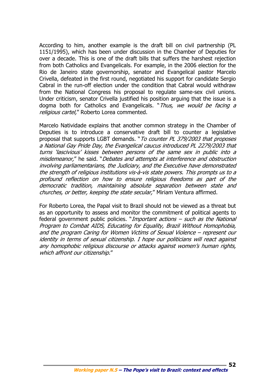According to him, another example is the draft bill on civil partnership (PL 1151/1995), which has been under discussion in the Chamber of Deputies for over a decade. This is one of the draft bills that suffers the harshest rejection from both Catholics and Evangelicals. For example, in the 2006 election for the Rio de Janeiro state governorship, senator and Evangelical pastor Marcelo Crivella, defeated in the first round, negotiated his support for candidate Sergio Cabral in the run-off election under the condition that Cabral would withdraw from the National Congress his proposal to regulate same-sex civil unions. Under criticism, senator Crivella justified his position arguing that the issue is a dogma both for Catholics and Evangelicals. "Thus, we would be facing a religious cartel," Roberto Lorea commented.

Marcelo Natividade explains that another common strategy in the Chamber of Deputies is to introduce a conservative draft bill to counter a legislative proposal that supports LGBT demands. "To counter PL 379/2003 that proposes a National Gay Pride Day, the Evangelical caucus introduced PL 2279/2003 that turns 'lascivious' kisses between persons of the same sex in public into a misdemeanor," he said. "Debates and attempts at interference and obstruction involving parliamentarians, the Judiciary, and the Executive have demonstrated the strength of religious institutions vis-à-vis state powers. This prompts us to a profound reflection on how to ensure religious freedoms as part of the democratic tradition, maintaining absolute separation between state and churches, or better, keeping the state secular," Miriam Ventura affirmed.

For Roberto Lorea, the Papal visit to Brazil should not be viewed as a threat but as an opportunity to assess and monitor the commitment of political agents to federal government public policies. "Important actions – such as the National Program to Combat AIDS, Educating for Equality, Brazil Without Homophobia, and the program Caring for Women Victims of Sexual Violence – represent our identity in terms of sexual citizenship. I hope our politicians will react against any homophobic religious discourse or attacks against women's human rights, which affront our citizenship."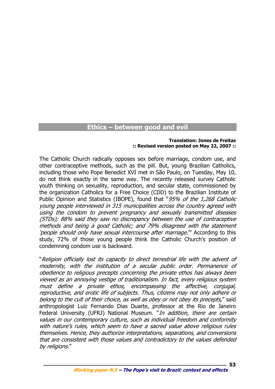# **Ethics – between good and evil**

#### **Translation: Jones de Freitas :: Revised version posted on May 22, 2007 ::**

The Catholic Church radically opposes sex before marriage, condom use, and other contraceptive methods, such as the pill. But, young Brazilian Catholics, including those who Pope Benedict XVI met in São Paulo, on Tuesday, May 10, do not think exactly in the same way. The recently released survey Catholic youth thinking on sexuality, reproduction, and secular state, commissioned by the organization Catholics for a Free Choice (CDD) to the Brazilian Institute of Public Opinion and Statistics (IBOPE), found that "95% of the 1,268 Catholic young people interviewed in 315 municipalities across the country agreed with using the condom to prevent pregnancy and sexually transmitted diseases (STDs); 88% said they saw no discrepancy between the use of contraceptive methods and being a good Catholic; and 79% disagreed with the statement 'people should only have sexual intercourse after marriage.'" According to this study, 72% of those young people think the Catholic Church's position of condemning condom use is backward.

"Religion officially lost its capacity to direct terrestrial life with the advent of modernity, with the institution of a secular public order. Permanence of obedience to religious precepts concerning the private ethos has always been viewed as an annoying vestige of traditionalism. In fact, every religious system must define a private ethos, encompassing the affective, conjugal, reproductive, and erotic life of subjects. Thus, citizens may not only adhere or belong to the cult of their choice, as well as obey or not obey its precepts," said anthropologist Luiz Fernando Dias Duarte, professor at the Rio de Janeiro Federal University (UFRJ) National Museum. "*In addition, there are certain* values in our contemporary culture, such as individual freedom and conformity with nature's rules, which seem to have a sacred value above religious rules themselves. Hence, they authorize interpretations, separations, and conversions that are consistent with those values and contradictory to the values defended by religions."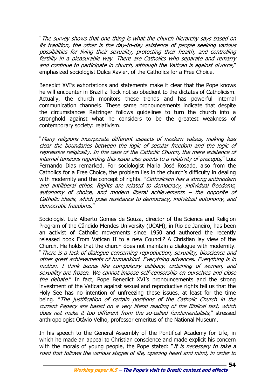"The survey shows that one thing is what the church hierarchy says based on its tradition, the other is the day-to-day existence of people seeking various possibilities for living their sexuality, protecting their health, and controlling fertility in a pleasurable way. There are Catholics who separate and remarry and continue to participate in church, although the Vatican is against divorce," emphasized sociologist Dulce Xavier, of the Catholics for a Free Choice.

Benedict XVI's exhortations and statements make it clear that the Pope knows he will encounter in Brazil a flock not so obedient to the dictates of Catholicism. Actually, the church monitors these trends and has powerful internal communication channels. These same pronouncements indicate that despite the circumstances Ratzinger follows guidelines to turn the church into a stronghold against what he considers to be the greatest weakness of contemporary society: relativism.

"Many religions incorporate different aspects of modern values, making less clear the boundaries between the logic of secular freedom and the logic of repressive religiosity. In the case of the Catholic Church, the mere existence of internal tensions regarding this issue also points to a relativity of precepts," Luiz Fernando Dias remarked. For sociologist Maria José Rosado, also from the Catholics for a Free Choice, the problem lies in the church's difficulty in dealing with modernity and the concept of rights. "Catholicism has a strong antimodern and antiliberal ethos. Rights are related to democracy, individual freedoms, autonomy of choice, and modern liberal achievements – the opposite of Catholic ideals, which pose resistance to democracy, individual autonomy, and democratic freedoms."

Sociologist Luiz Alberto Gomes de Souza, director of the Science and Religion Program of the Cândido Mendes University (UCAM), in Rio de Janeiro, has been an activist of Catholic movements since 1950 and authored the recently released book From Vatican II to a new Council? A Christian lay view of the Church. He holds that the church does not maintain a dialogue with modernity. "There is a lack of dialogue concerning reproduction, sexuality, bioscience and other great achievements of humankind. Everything advances. Everything is in motion. I think issues like compulsory celibacy, ordaining of women, and sexuality are frozen. We cannot impose self-censorship on ourselves and close the debate." In fact, Pope Benedict XVI's pronouncements and the strong investment of the Vatican against sexual and reproductive rights tell us that the Holy See has no intention of unfreezing these issues, at least for the time being. "The justification of certain positions of the Catholic Church in the current Papacy are based on a very literal reading of the Biblical text, which does not make it too different from the so-called fundamentalists," stressed anthropologist Otávio Velho, professor emeritus of the National Museum.

In his speech to the General Assembly of the Pontifical Academy for Life, in which he made an appeal to Christian conscience and made explicit his concern with the morals of young people, the Pope stated: "It is necessary to take  $a$ road that follows the various stages of life, opening heart and mind, in order to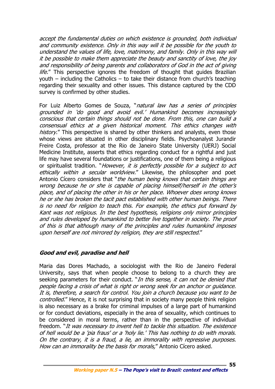accept the fundamental duties on which existence is grounded, both individual and community existence. Only in this way will it be possible for the youth to understand the values of life, love, matrimony, and family. Only in this way will it be possible to make them appreciate the beauty and sanctity of love, the joy and responsibility of being parents and collaborators of God in the act of giving life." This perspective ignores the freedom of thought that guides Brazilian youth – including the Catholics – to take their distance from church's teaching regarding their sexuality and other issues. This distance captured by the CDD survey is confirmed by other studies.

For Luiz Alberto Gomes de Souza, "natural law has a series of principles grounded in 'do good and avoid evil.' Humankind becomes increasingly conscious that certain things should not be done. From this, one can build a consensual ethics at a given historical moment. This ethics changes with history." This perspective is shared by other thinkers and analysts, even those whose views are situated in other disciplinary fields. Psychoanalyst Jurandir Freire Costa, professor at the Rio de Janeiro State University (UERJ) Social Medicine Institute, asserts that ethics regarding conduct for a rightful and just life may have several foundations or justifications, one of them being a religious or spiritualist tradition. "However, it is perfectly possible for a subject to act ethically within a secular worldview." Likewise, the philosopher and poet Antonio Cícero considers that "the human being knows that certain things are wrong because he or she is capable of placing himself/herself in the other's place, and of placing the other in his or her place. Whoever does wrong knows he or she has broken the tacit pact established with other human beings. There is no need for religion to teach this. For example, the ethics put forward by Kant was not religious. In the best hypothesis, religions only mirror principles and rules developed by humankind to better live together in society. The proof of this is that although many of the principles and rules humankind imposes upon herself are not mirrored by religion, they are still respected."

#### **Good and evil, paradise and hell**

Maria das Dores Machado, a sociologist with the Rio de Janeiro Federal University, says that when people choose to belong to a church they are seeking parameters for their conduct. "In this sense, it can not be denied that people facing a crisis of what is right or wrong seek for an anchor or guidance. It is, therefore, a search for control. You join a church because you want to be controlled." Hence, it is not surprising that in society many people think religion is also necessary as a brake for criminal impulses of a large part of humankind or for conduct deviations, especially in the area of sexuality, which continues to be considered in moral terms, rather than in the perspective of individual freedom. "It was necessary to invent hell to tackle this situation. The existence of hell would be a 'pia fraus' or a 'holy lie.' This has nothing to do with morals. On the contrary, it is a fraud, a lie, an immorality with repressive purposes. How can an immorality be the basis for morals," Antonio Cícero asked.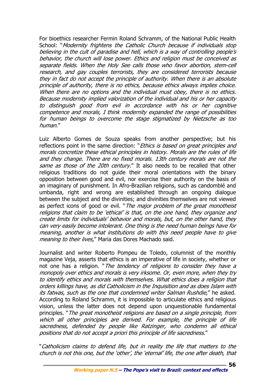For bioethics researcher Fermin Roland Schramm, of the National Public Health School: "Modernity frightens the Catholic Church because if individuals stop believing in the cult of paradise and hell, which is a way of controlling people's behavior, the church will lose power. Ethics and religion must be conceived as separate fields. When the Holy See calls those who favor abortion, stem-cell research, and gay couples terrorists, they are considered terrorists because they in fact do not accept the principle of authority. When there is an absolute principle of authority, there is no ethics, because ethics always implies choice. When there are no options and the individual must obey, there is no ethics. Because modernity implied valorization of the individual and his or her capacity to distinguish good from evil in accordance with his or her cognitive competence and morals, I think modernity expanded the range of possibilities for human beings to overcome the stage stigmatized by Nietzsche as too human."

Luiz Alberto Gomes de Souza speaks from another perspective; but his reflections point in the same direction: "*Ethics is based on great principles and* morals concretize these ethical principles in history. Morals are the rules of life and they change. There are no fixed morals. 13th century morals are not the same as those of the 20th century." It also needs to be recalled that other religious traditions do not guide their moral orientations with the binary opposition between good and evil, nor exercise their authority on the basis of an imaginary of punishment. In Afro-Brazilian religions, such as candomblé and umbanda, right and wrong are established through an ongoing dialogue between the subject and the divinities; and divinities themselves are not viewed as perfect icons of good or evil. "The major problem of the great monotheist religions that claim to be 'ethical' is that, on the one hand, they organize and create limits for individuals' behavior and morals, but, on the other hand, they can very easily become intolerant. One thing is the need human beings have for meaning, another is what institutions do with this need people have to give meaning to their lives," Maria das Dores Machado said.

Journalist and writer Roberto Pompeu de Toledo, columnist of the monthly magazine Veja, asserts that ethics is an imperative of life in society, whether or not one has a religion. "The tendency of religions to consider they have a monopoly over ethics and morals is very irksome. Or, even more, when they try to identify ethics and morals with themselves. What ethics does a religion that orders killings have, as did Catholicism in the Inquisition and as does Islam with its fatwas, such as the one that condemned writer Salman Rushdie," he asked. According to Roland Schramm, it is impossible to articulate ethics and religious vision, unless the latter does not depend upon unquestionable fundamental principles. "The great monotheist religions are based on a single principle, from which all other principles are derived. For example, the principle of life sacredness, defended by people like Ratzinger, who condemn all ethical positions that do not accept a priori this principle of life sacredness."

"Catholicism claims to defend life, but in reality the life that matters to the church is not this one, but the 'other', the 'eternal' life, the one after death, that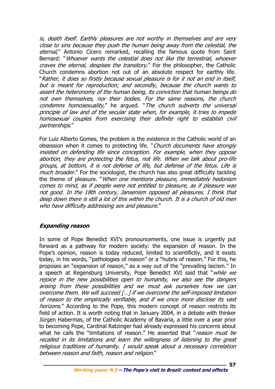is, death itself. Earthly pleasures are not worthy in themselves and are very close to sins because they push the human being away from the celestial, the eternal," Antonio Cícero remarked, recalling the famous quote from Saint Bernard: "Whoever wants the celestial does not like the terrestrial, whoever craves the eternal, despises the transitory." For the philosopher, the Catholic Church condemns abortion not out of an absolute respect for earthly life. "Rather, it does so firstly because sexual pleasure is for it not an end in itself, but is meant for reproduction; and secondly, because the church wants to assert the heteronomy of the human being, its conviction that human beings do not own themselves, nor their bodies. For the same reasons, the church condemns homosexuality," he argued. "The church subverts the universal principle of law and of the secular state when, for example, it tries to impede homosexual couples from exercising their definite right to establish civil partnerships."

For Luiz Alberto Gomes, the problem is the existence in the Catholic world of an obsession when it comes to protecting life. "Church documents have strongly insisted on defending life since conception. For example, when they oppose abortion, they are protecting the fetus, not life. When we talk about pro-life groups, at bottom, it is not defense of life, but defense of the fetus. Life is much broader." For the sociologist, the church has also great difficulty tackling the theme of pleasure. "When one mentions pleasure, immediately hedonism comes to mind, as if people were not entitled to pleasure, as if pleasure was not good. In the 18th century, Jansenism opposed all pleasures. I think that deep down there is still a lot of this within the church. It is a church of old men who have difficulty addressing sex and pleasure."

# **Expanding reason**

In some of Pope Benedict XVI's pronouncements, one issue is urgently put forward as a pathway for modern society: the expansion of reason. In the Pope's opinion, reason is today reduced, limited to scientificity, and it exists today, in his words, "pathologies of reason" or a "hubris of reason." For this, he proposes an "expansion of reason," as a way out of the "prevailing laicism." In a speech at Regensburg University, Pope Benedict XVI said that "while we rejoice in the new possibilities open to humanity, we also see the dangers arising from these possibilities and we must ask ourselves how we can overcome them. We will succeed [...] if we overcome the self-imposed limitation of reason to the empirically verifiable, and if we once more disclose its vast horizons." According to the Pope, this modern concept of reason restricts its field of action. It is worth noting that in January 2004, in a debate with thinker Jürgen Habermas, of the Catholic Academy of Bavaria, a little over a year prior to becoming Pope, Cardinal Ratzinger had already expressed his concerns about what he calls the "limitations of reason." He asserted that "reason must be recalled in its limitations and learn the willingness of listening to the great religious traditions of humanity. I would speak about a necessary correlation between reason and faith, reason and religion."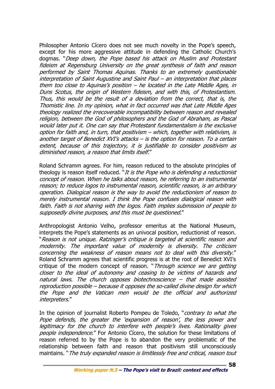Philosopher Antonio Cícero does not see much novelty in the Pope's speech, except for his more aggressive attitude in defending the Catholic Church's dogmas. "Deep down, the Pope based his attack on Muslim and Protestant fideism at Regensburg University on the great synthesis of faith and reason performed by Saint Thomas Aquinas. Thanks to an extremely questionable interpretation of Saint Augustine and Saint Paul – an interpretation that places them too close to Aquinas's position – he located in the Late Middle Ages, in Duns Scotus, the origin of Western fideism, and with this, of Protestantism. Thus, this would be the result of a deviation from the correct, that is, the Thomistic line. In my opinion, what in fact occurred was that Late Middle Ages theology realized the irrecoverable incompatibility between reason and revealed religion, between the God of philosophers and the God of Abraham, as Pascal would later put it. One can say that Protestant fundamentalism is the exclusive option for faith and, in turn, that positivism – which, together with relativism, is another target of Benedict XVI's attacks – is the option for reason. To a certain extent, because of this trajectory, it is justifiable to consider positivism as diminished reason, a reason that limits itself."

Roland Schramm agrees. For him, reason reduced to the absolute principles of theology is reason itself reduced. "*It is the Pope who is defending a reductionist* concept of reason. When he talks about reason, he referring to an instrumental reason; to reduce logos to instrumental reason, scientific reason, is an arbitrary operation. Dialogical reason is the way to avoid the reductionism of reason to merely instrumental reason. I think the Pope confuses dialogical reason with faith. Faith is not sharing with the logos. Faith implies submission of people to supposedly divine purposes, and this must be questioned."

Anthropologist Antonio Velho, professor emeritus at the National Museum, interprets the Pope's statements as an univocal position, reductionist of reason. "Reason is not unique. Ratzinger's critique is targeted at scientific reason and modernity. The important value of modernity is diversity. The criticism concerning the weakness of reason means not to deal with this diversity." Roland Schramm agrees that scientific progress is at the root of Benedict XVI's critique of the modern concept of reason. "Through science we are getting closer to the ideal of autonomy and ceasing to be victims of hazards and natural laws. The church opposes biotechnoscience – that made assisted reproduction possible – because it opposes the so-called divine design for which the Pope and the Vatican men would be the official and authorized interpreters."

In the opinion of journalist Roberto Pompeu de Toledo, "*contrary to what the* Pope defends, the greater the 'expansion of reason', the less power and legitimacy for the church to interfere with people's lives. Rationality gives people independence." For Antonio Cícero, the solution for these limitations of reason referred to by the Pope is to abandon the very problematic of the relationship between faith and reason that positivism still unconsciously maintains. "The truly expanded reason is limitlessly free and critical, reason tout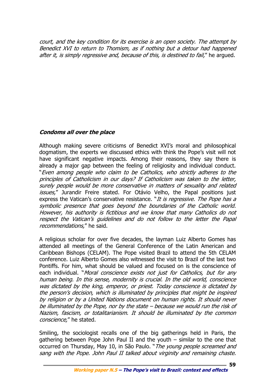court, and the key condition for its exercise is an open society. The attempt by Benedict XVI to return to Thomism, as if nothing but a detour had happened after it, is simply regressive and, because of this, is destined to fail," he arqued.

# **Condoms all over the place**

Although making severe criticisms of Benedict XVI's moral and philosophical dogmatism, the experts we discussed ethics with think the Pope's visit will not have significant negative impacts. Among their reasons, they say there is already a major gap between the feeling of religiosity and individual conduct. "Even among people who claim to be Catholics, who strictly adheres to the principles of Catholicism in our days? If Catholicism was taken to the letter, surely people would be more conservative in matters of sexuality and related issues," Jurandir Freire stated. For Otávio Velho, the Papal positions just express the Vatican's conservative resistance. "It is regressive. The Pope has a symbolic presence that goes beyond the boundaries of the Catholic world. However, his authority is fictitious and we know that many Catholics do not respect the Vatican's guidelines and do not follow to the letter the Papal recommendations," he said.

A religious scholar for over five decades, the layman Luiz Alberto Gomes has attended all meetings of the General Conference of the Latin American and Caribbean Bishops (CELAM). The Pope visited Brazil to attend the 5th CELAM conference. Luiz Alberto Gomes also witnessed the visit to Brazil of the last two Pontiffs. For him, what should be valued and focused on is the conscience of each individual. "Moral conscience exists not just for Catholics, but for any human being. In this sense, modernity is crucial. In the old world, conscience was dictated by the king, emperor, or priest. Today conscience is dictated by the person's decision, which is illuminated by principles that might be inspired by religion or by a United Nations document on human rights. It should never be illuminated by the Pope, nor by the state – because we would run the risk of Nazism, fascism, or totalitarianism. It should be illuminated by the common conscience," he stated.

Smiling, the sociologist recalls one of the big gatherings held in Paris, the gathering between Pope John Paul II and the youth – similar to the one that occurred on Thursday, May 10, in São Paulo. "The young people screamed and sang with the Pope. John Paul II talked about virginity and remaining chaste.